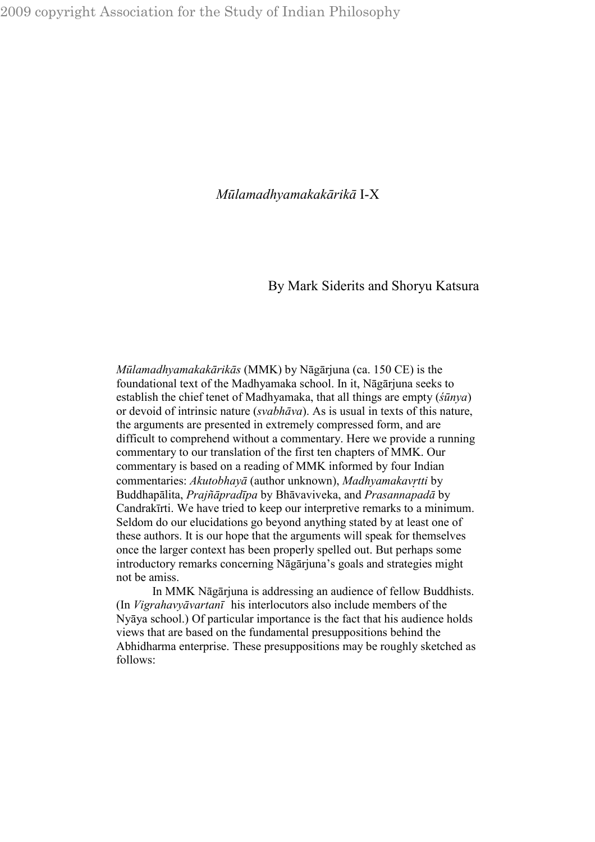2009 copyright Association for the Study of Indian Philosophy

Mūlamadhyamakakārikā I-X

# By Mark Siderits and Shoryu Katsura

Mūlamadhyamakakārikās (MMK) by Nāgārjuna (ca. 150 CE) is the foundational text of the Madhyamaka school. In it, Nāgārjuna seeks to establish the chief tenet of Madhyamaka, that all things are empty  $(\dot{s} \bar{u} \eta y a)$ or devoid of intrinsic nature (svabhāva). As is usual in texts of this nature, the arguments are presented in extremely compressed form, and are difficult to comprehend without a commentary. Here we provide a running commentary to our translation of the first ten chapters of MMK. Our commentary is based on a reading of MMK informed by four Indian commentaries: Akutobhayā (author unknown), Madhyamakavrtti by Buddhapālita, Prajñāpradīpa by Bhāvaviveka, and Prasannapadā by Candrakīrti. We have tried to keep our interpretive remarks to a minimum. Seldom do our elucidations go beyond anything stated by at least one of these authors. It is our hope that the arguments will speak for themselves once the larger context has been properly spelled out. But perhaps some introductory remarks concerning Nāgāriuna's goals and strategies might not be amiss.

In MMK Nāgārjuna is addressing an audience of fellow Buddhists. (In *Vigrahavyāvartanī* his interlocutors also include members of the Nyāya school.) Of particular importance is the fact that his audience holds views that are based on the fundamental presuppositions behind the Abhidharma enterprise. These presuppositions may be roughly sketched as follows: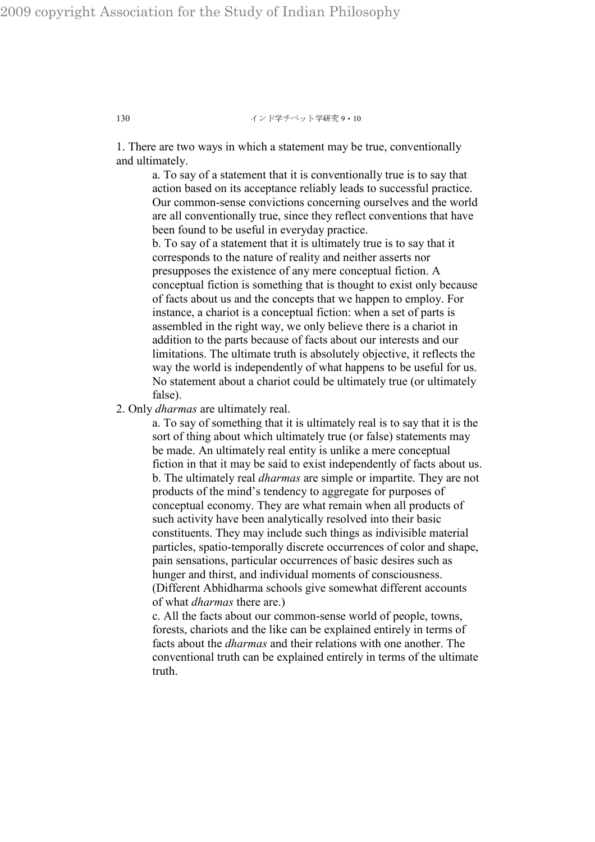1. There are two ways in which a statement may be true, conventionally and ultimately.

> a. To say of a statement that it is conventionally true is to say that action based on its acceptance reliably leads to successful practice. Our common-sense convictions concerning ourselves and the world are all conventionally true, since they reflect conventions that have been found to be useful in everyday practice.

> b. To say of a statement that it is ultimately true is to say that it corresponds to the nature of reality and neither asserts nor presupposes the existence of any mere conceptual fiction. A conceptual fiction is something that is thought to exist only because of facts about us and the concepts that we happen to employ. For instance, a chariot is a conceptual fiction; when a set of parts is assembled in the right way, we only believe there is a chariot in addition to the parts because of facts about our interests and our limitations. The ultimate truth is absolutely objective, it reflects the way the world is independently of what happens to be useful for us. No statement about a chariot could be ultimately true (or ultimately false).

2. Only *dharmas* are ultimately real.

a. To say of something that it is ultimately real is to say that it is the sort of thing about which ultimately true (or false) statements may be made. An ultimately real entity is unlike a mere conceptual fiction in that it may be said to exist independently of facts about us. b. The ultimately real *dharmas* are simple or impartite. They are not products of the mind's tendency to aggregate for purposes of conceptual economy. They are what remain when all products of such activity have been analytically resolved into their basic constituents. They may include such things as indivisible material particles, spatio-temporally discrete occurrences of color and shape, pain sensations, particular occurrences of basic desires such as hunger and thirst, and individual moments of consciousness. (Different Abhidharma schools give somewhat different accounts of what *dharmas* there are.)

c. All the facts about our common-sense world of people, towns, forests, chariots and the like can be explained entirely in terms of facts about the *dharmas* and their relations with one another. The conventional truth can be explained entirely in terms of the ultimate truth.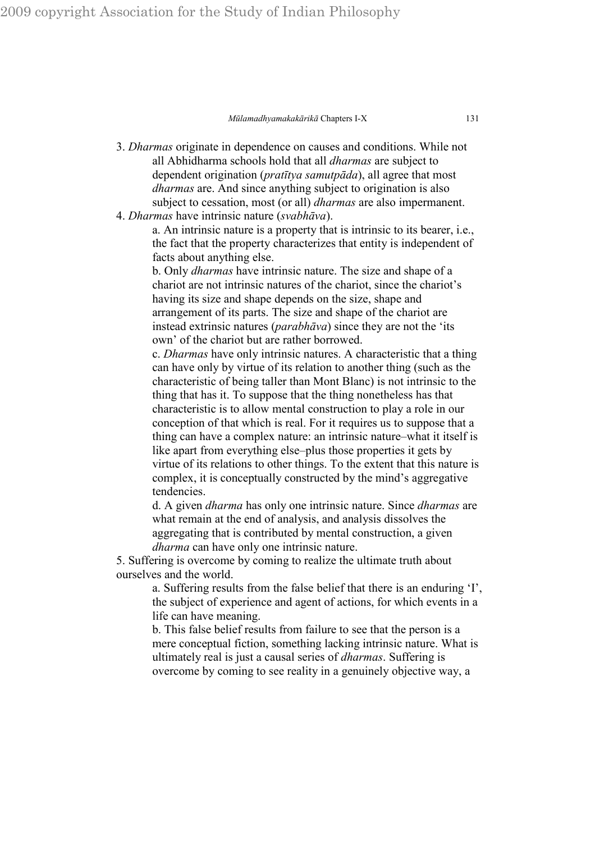3. Dharmas originate in dependence on causes and conditions. While not all Abhidharma schools hold that all *dharmas* are subject to dependent origination (*pratitya samutpāda*), all agree that most *dharmas* are. And since anything subject to origination is also subject to cessation, most (or all) *dharmas* are also impermanent.

4. *Dharmas* have intrinsic nature (*svabhāva*).

a. An intrinsic nature is a property that is intrinsic to its bearer, i.e., the fact that the property characterizes that entity is independent of facts about anything else.

b. Only *dharmas* have intrinsic nature. The size and shape of a chariot are not intrinsic natures of the chariot, since the chariot's having its size and shape depends on the size, shape and arrangement of its parts. The size and shape of the chariot are instead extrinsic natures (parabhava) since they are not the 'its own' of the chariot but are rather borrowed.

c. *Dharmas* have only intrinsic natures. A characteristic that a thing can have only by virtue of its relation to another thing (such as the characteristic of being taller than Mont Blanc) is not intrinsic to the thing that has it. To suppose that the thing nonetheless has that characteristic is to allow mental construction to play a role in our conception of that which is real. For it requires us to suppose that a thing can have a complex nature: an intrinsic nature–what it itself is like apart from everything else-plus those properties it gets by virtue of its relations to other things. To the extent that this nature is complex, it is conceptually constructed by the mind's aggregative tendencies.

d. A given *dharma* has only one intrinsic nature. Since *dharmas* are what remain at the end of analysis, and analysis dissolves the aggregating that is contributed by mental construction, a given *dharma* can have only one intrinsic nature.

5. Suffering is overcome by coming to realize the ultimate truth about ourselves and the world.

> a. Suffering results from the false belief that there is an enduring 'I'. the subject of experience and agent of actions, for which events in a life can have meaning.

> b. This false belief results from failure to see that the person is a mere conceptual fiction, something lacking intrinsic nature. What is ultimately real is just a causal series of *dharmas*. Suffering is overcome by coming to see reality in a genuinely objective way, a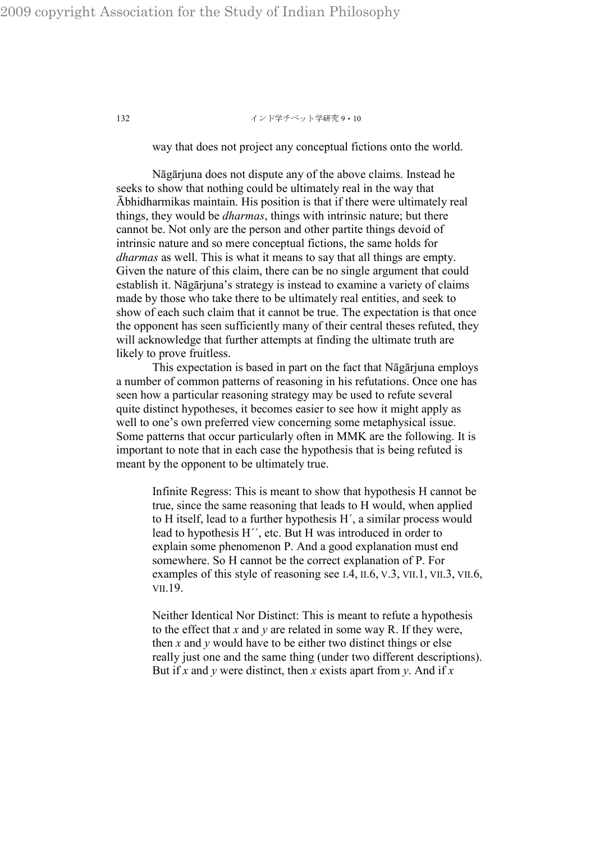way that does not project any conceptual fictions onto the world.

Nāgāriuna does not dispute any of the above claims. Instead he seeks to show that nothing could be ultimately real in the way that Abhidharmikas maintain. His position is that if there were ultimately real things, they would be *dharmas*, things with intrinsic nature; but there cannot be. Not only are the person and other partite things devoid of intrinsic nature and so mere conceptual fictions, the same holds for *dharmas* as well. This is what it means to say that all things are empty. Given the nature of this claim, there can be no single argument that could establish it. Nāgārjuna's strategy is instead to examine a variety of claims made by those who take there to be ultimately real entities, and seek to show of each such claim that it cannot be true. The expectation is that once the opponent has seen sufficiently many of their central theses refuted, they will acknowledge that further attempts at finding the ultimate truth are likely to prove fruitless.

This expectation is based in part on the fact that Nangariuna employs a number of common patterns of reasoning in his refutations. Once one has seen how a particular reasoning strategy may be used to refute several quite distinct hypotheses, it becomes easier to see how it might apply as well to one's own preferred view concerning some metaphysical issue. Some patterns that occur particularly often in MMK are the following. It is important to note that in each case the hypothesis that is being refuted is meant by the opponent to be ultimately true.

Infinite Regress: This is meant to show that hypothesis H cannot be true, since the same reasoning that leads to H would, when applied to H itself, lead to a further hypothesis H', a similar process would lead to hypothesis H'', etc. But H was introduced in order to explain some phenomenon P. And a good explanation must end somewhere. So H cannot be the correct explanation of P. For examples of this style of reasoning see 1.4, II.6, V.3, VII.1, VII.3, VII.6,  $VII$  19

Neither Identical Nor Distinct: This is meant to refute a hypothesis to the effect that x and y are related in some way R. If they were, then x and y would have to be either two distinct things or else really just one and the same thing (under two different descriptions). But if x and y were distinct, then x exists apart from y. And if x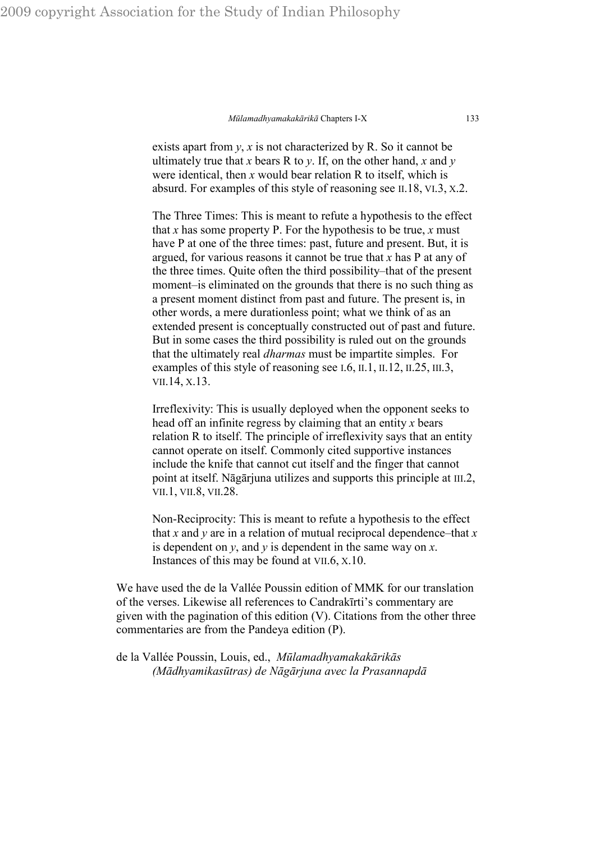exists apart from  $y$ , x is not characterized by R. So it cannot be ultimately true that x bears R to y. If, on the other hand, x and y were identical, then  $x$  would bear relation R to itself, which is absurd. For examples of this style of reasoning see II.18, VI.3, X.2.

The Three Times: This is meant to refute a hypothesis to the effect that x has some property P. For the hypothesis to be true,  $x$  must have P at one of the three times: past, future and present. But, it is argued, for various reasons it cannot be true that  $x$  has  $P$  at any of the three times. Ouite often the third possibility–that of the present moment-is eliminated on the grounds that there is no such thing as a present moment distinct from past and future. The present is, in other words, a mere durationless point; what we think of as an extended present is conceptually constructed out of past and future. But in some cases the third possibility is ruled out on the grounds that the ultimately real *dharmas* must be impartite simples. For examples of this style of reasoning see 1.6, II.1, II.12, II.25, III.3. VII.14, X.13.

Irreflexivity: This is usually deployed when the opponent seeks to head off an infinite regress by claiming that an entity  $x$  bears relation R to itself. The principle of irreflexivity says that an entity cannot operate on itself. Commonly cited supportive instances include the knife that cannot cut itself and the finger that cannot point at itself. Nāgārjuna utilizes and supports this principle at III.2, VII.1, VII.8, VII.28.

Non-Reciprocity: This is meant to refute a hypothesis to the effect that x and y are in a relation of mutual reciprocal dependence-that x is dependent on  $y$ , and  $y$  is dependent in the same way on x. Instances of this may be found at VII.6, X.10.

We have used the de la Vallée Poussin edition of MMK for our translation of the verses. Likewise all references to Candrakīrti's commentary are given with the pagination of this edition  $(V)$ . Citations from the other three commentaries are from the Pandeya edition (P).

de la Vallée Poussin, Louis, ed., Mūlamadhyamakakārikās (Mādhyamikasūtras) de Nāgārjuna avec la Prasannapdā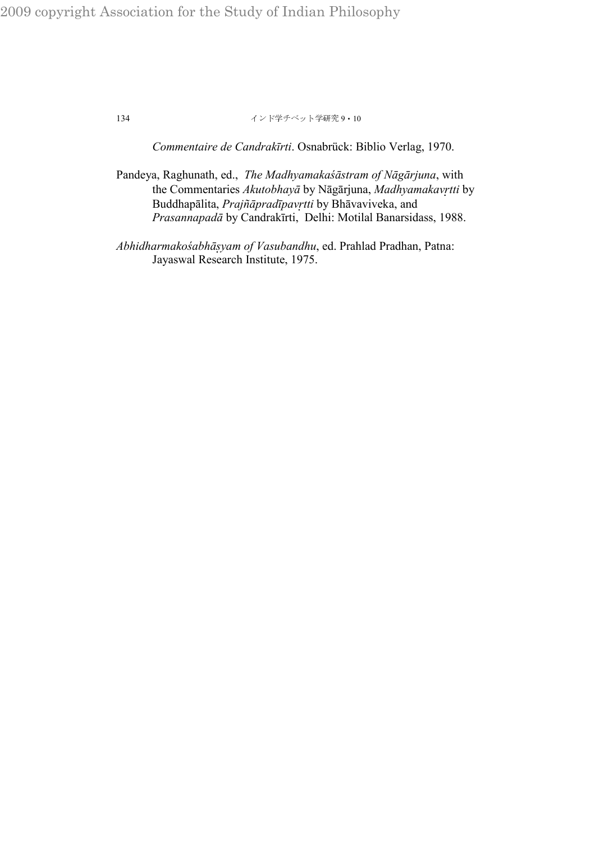134

インド学チベット学研究9・10

Commentaire de Candrakīrti. Osnabrück: Biblio Verlag, 1970.

- Pandeya, Raghunath, ed., The Madhyamakaśāstram of Nāgārjuna, with the Commentaries Akutobhayā by Nāgārjuna, Madhyamakavrtti by Buddhapālita, Prajñāpradīpavrtti by Bhāvaviveka, and Prasannapadā by Candrakīrti, Delhi: Motilal Banarsidass, 1988.
- Abhidharmakośabhāsyam of Vasubandhu, ed. Prahlad Pradhan, Patna: Jayaswal Research Institute, 1975.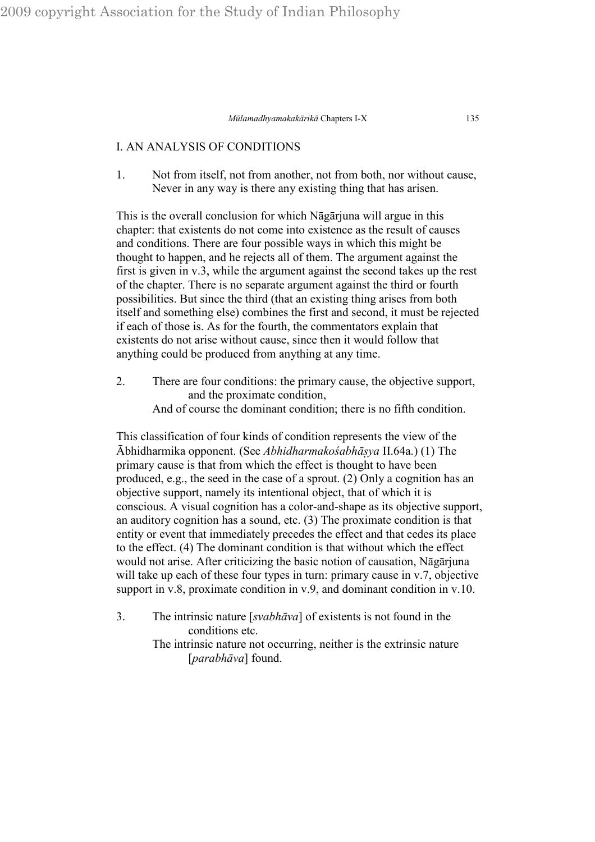## **I AN ANALYSIS OF CONDITIONS**

Not from itself, not from another, not from both, nor without cause,  $\mathbf{1}$ Never in any way is there any existing thing that has arisen.

This is the overall conclusion for which Nazariuna will argue in this chapter: that existents do not come into existence as the result of causes and conditions. There are four possible ways in which this might be thought to happen, and he rejects all of them. The argument against the first is given in v.3, while the argument against the second takes up the rest of the chapter. There is no separate argument against the third or fourth possibilities. But since the third (that an existing thing arises from both itself and something else) combines the first and second, it must be rejected if each of those is. As for the fourth, the commentators explain that existents do not arise without cause, since then it would follow that anything could be produced from anything at any time.

 $2<sub>1</sub>$ There are four conditions: the primary cause, the objective support, and the proximate condition. And of course the dominant condition; there is no fifth condition.

This classification of four kinds of condition represents the view of the Ābhidharmika opponent. (See Abhidharmakośabhāsva II.64a.) (1) The primary cause is that from which the effect is thought to have been produced, e.g., the seed in the case of a sprout. (2) Only a cognition has an objective support, namely its intentional object, that of which it is conscious. A visual cognition has a color-and-shape as its objective support, an auditory cognition has a sound, etc.  $(3)$  The proximate condition is that entity or event that immediately precedes the effect and that cedes its place to the effect. (4) The dominant condition is that without which the effect would not arise. After criticizing the basic notion of causation, Nāgārjuna will take up each of these four types in turn: primary cause in v.7, objective support in  $v.8$ , proximate condition in  $v.9$ , and dominant condition in  $v.10$ .

 $3<sub>1</sub>$ The intrinsic nature [ $svabh\bar{a}va$ ] of existents is not found in the conditions etc.

The intrinsic nature not occurring, neither is the extrinsic nature [parabhāva] found.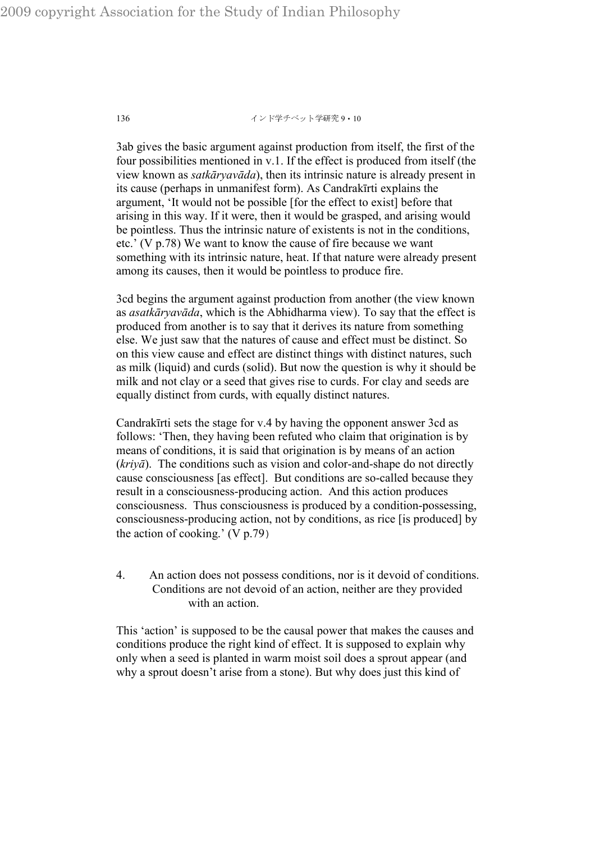3ab gives the basic argument against production from itself, the first of the four possibilities mentioned in v.1. If the effect is produced from itself (the view known as *satkāryavāda*), then its intrinsic nature is already present in its cause (perhaps in unmanifest form). As Candrakīrti explains the argument, 'It would not be possible [for the effect to exist] before that arising in this way. If it were, then it would be grasped, and arising would be pointless. Thus the intrinsic nature of existents is not in the conditions, etc.' (V p.78) We want to know the cause of fire because we want something with its intrinsic nature, heat. If that nature were already present among its causes, then it would be pointless to produce fire.

3cd begins the argument against production from another (the view known as *asatkārvavāda*, which is the Abhidharma view). To say that the effect is produced from another is to say that it derives its nature from something else. We just saw that the natures of cause and effect must be distinct. So on this view cause and effect are distinct things with distinct natures, such as milk (liquid) and curds (solid). But now the question is why it should be milk and not clay or a seed that gives rise to curds. For clay and seeds are equally distinct from curds, with equally distinct natures.

Candrakirti sets the stage for v.4 by having the opponent answer 3cd as follows: 'Then, they having been refuted who claim that origination is by means of conditions, it is said that origination is by means of an action  $(kriy\bar{a})$ . The conditions such as vision and color-and-shape do not directly cause consciousness [as effect]. But conditions are so-called because they result in a consciousness-producing action. And this action produces consciousness. Thus consciousness is produced by a condition-possessing, consciousness-producing action, not by conditions, as rice [is produced] by the action of cooking.'  $(V p.79)$ 

 $\overline{4}$ . An action does not possess conditions, nor is it devoid of conditions. Conditions are not devoid of an action, neither are they provided with an action.

This 'action' is supposed to be the causal power that makes the causes and conditions produce the right kind of effect. It is supposed to explain why only when a seed is planted in warm moist soil does a sprout appear (and why a sprout doesn't arise from a stone). But why does just this kind of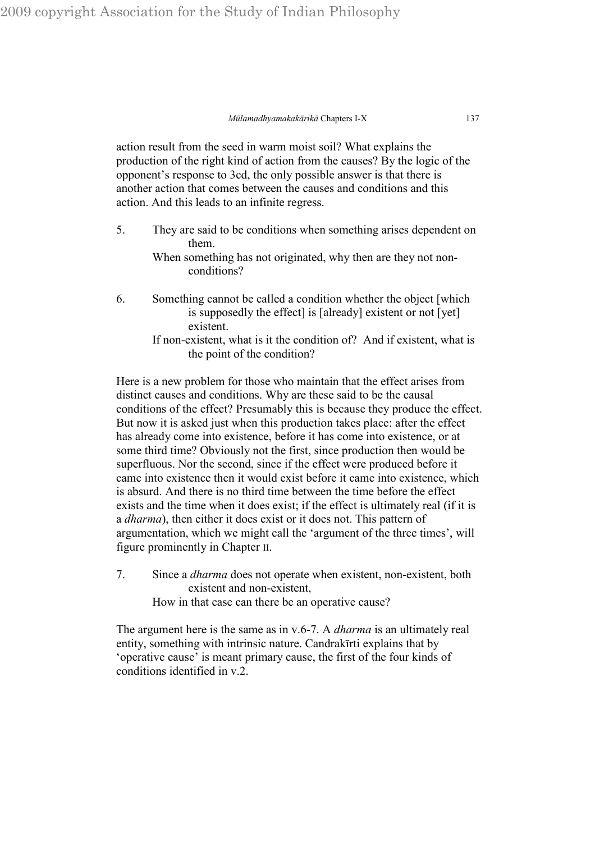action result from the seed in warm moist soil? What explains the production of the right kind of action from the causes? By the logic of the opponent's response to 3cd, the only possible answer is that there is another action that comes between the causes and conditions and this action. And this leads to an infinite regress.

5. They are said to be conditions when something arises dependent on them.

- 6. Something cannot be called a condition whether the object [which] is supposedly the effect is [already] existent or not [yet] existent.
	- If non-existent, what is it the condition of? And if existent, what is the point of the condition?

Here is a new problem for those who maintain that the effect arises from distinct causes and conditions. Why are these said to be the causal conditions of the effect? Presumably this is because they produce the effect. But now it is asked just when this production takes place: after the effect has already come into existence, before it has come into existence, or at some third time? Obviously not the first, since production then would be superfluous. Nor the second, since if the effect were produced before it came into existence then it would exist before it came into existence, which is absurd. And there is no third time between the time before the effect exists and the time when it does exist; if the effect is ultimately real (if it is a *dharma*), then either it does exist or it does not. This pattern of argumentation, which we might call the 'argument of the three times', will figure prominently in Chapter II.

 $7.$ Since a *dharma* does not operate when existent, non-existent, both existent and non-existent, How in that case can there be an operative cause?

The argument here is the same as in  $v.6-7$ . A *dharma* is an ultimately real entity, something with intrinsic nature. Candrakitri explains that by 'operative cause' is meant primary cause, the first of the four kinds of conditions identified in v.2.

When something has not originated, why then are they not nonconditions?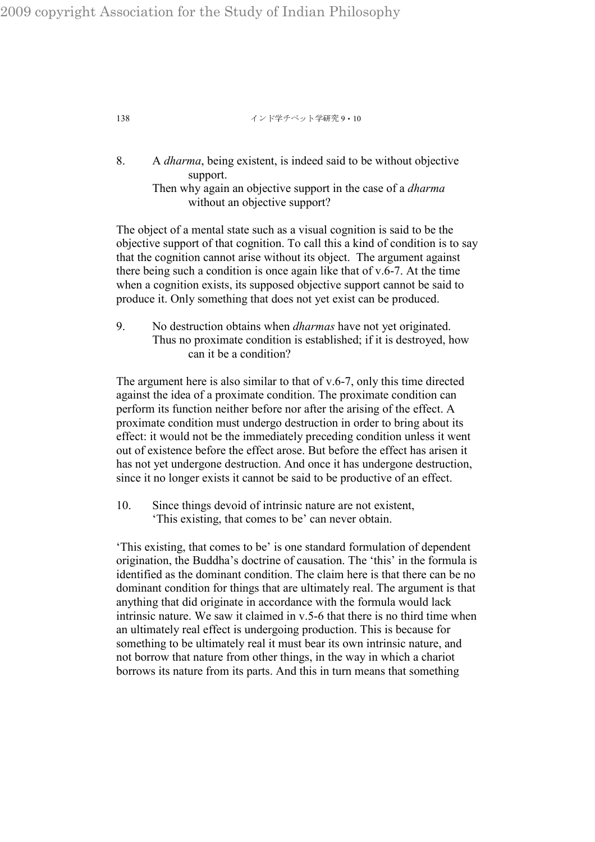8. A *dharma*, being existent, is indeed said to be without objective support.

Then why again an objective support in the case of a *dharma* without an objective support?

The object of a mental state such as a visual cognition is said to be the objective support of that cognition. To call this a kind of condition is to say that the cognition cannot arise without its object. The argument against there being such a condition is once again like that of v.6-7. At the time when a cognition exists, its supposed objective support cannot be said to produce it. Only something that does not yet exist can be produced.

 $9<sub>1</sub>$ No destruction obtains when *dharmas* have not yet originated. Thus no proximate condition is established; if it is destroved, how can it be a condition?

The argument here is also similar to that of v.6-7, only this time directed against the idea of a proximate condition. The proximate condition can perform its function neither before nor after the arising of the effect. A proximate condition must undergo destruction in order to bring about its effect: it would not be the immediately preceding condition unless it went out of existence before the effect arose. But before the effect has arisen it has not yet undergone destruction. And once it has undergone destruction, since it no longer exists it cannot be said to be productive of an effect.

 $10<sup>1</sup>$ Since things devoid of intrinsic nature are not existent, 'This existing, that comes to be' can never obtain.

This existing, that comes to be' is one standard formulation of dependent origination, the Buddha's doctrine of causation. The 'this' in the formula is identified as the dominant condition. The claim here is that there can be no dominant condition for things that are ultimately real. The argument is that anything that did originate in accordance with the formula would lack intrinsic nature. We saw it claimed in v.5-6 that there is no third time when an ultimately real effect is undergoing production. This is because for something to be ultimately real it must bear its own intrinsic nature, and not borrow that nature from other things, in the way in which a chariot borrows its nature from its parts. And this in turn means that something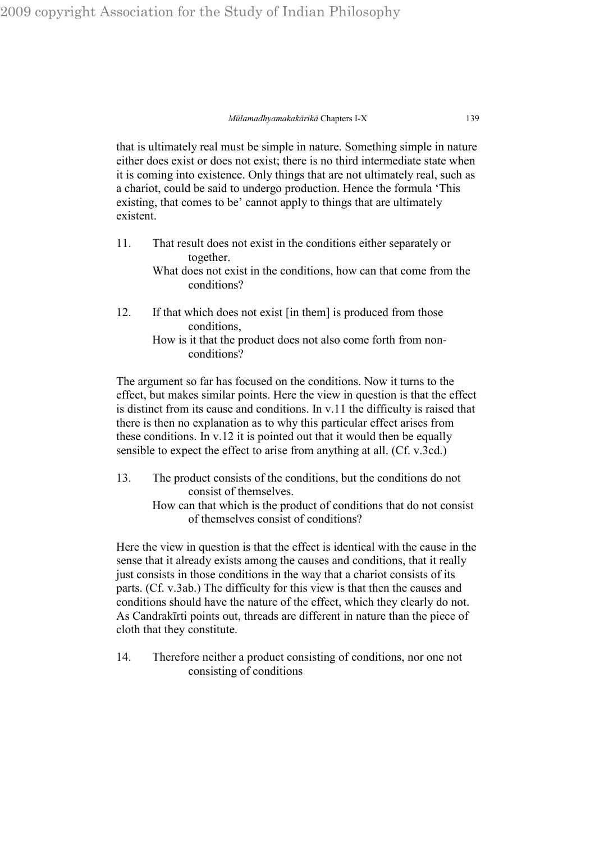that is ultimately real must be simple in nature. Something simple in nature either does exist or does not exist; there is no third intermediate state when it is coming into existence. Only things that are not ultimately real, such as a chariot, could be said to undergo production. Hence the formula 'This existing, that comes to be' cannot apply to things that are ultimately existent

 $11.$ That result does not exist in the conditions either separately or together.

What does not exist in the conditions, how can that come from the conditions?

 $12.$ If that which does not exist [in them] is produced from those conditions.

How is it that the product does not also come forth from nonconditions?

The argument so far has focused on the conditions. Now it turns to the effect, but makes similar points. Here the view in question is that the effect is distinct from its cause and conditions. In v.11 the difficulty is raised that there is then no explanation as to why this particular effect arises from these conditions. In v.12 it is pointed out that it would then be equally sensible to expect the effect to arise from anything at all. (Cf. v.3cd.)

13. The product consists of the conditions, but the conditions do not consist of themselves.

> How can that which is the product of conditions that do not consist of themselves consist of conditions?

Here the view in question is that the effect is identical with the cause in the sense that it already exists among the causes and conditions, that it really just consists in those conditions in the way that a chariot consists of its parts. (Cf. v.3ab.) The difficulty for this view is that then the causes and conditions should have the nature of the effect, which they clearly do not. As Candrakirti points out, threads are different in nature than the piece of cloth that they constitute.

14. Therefore neither a product consisting of conditions, nor one not consisting of conditions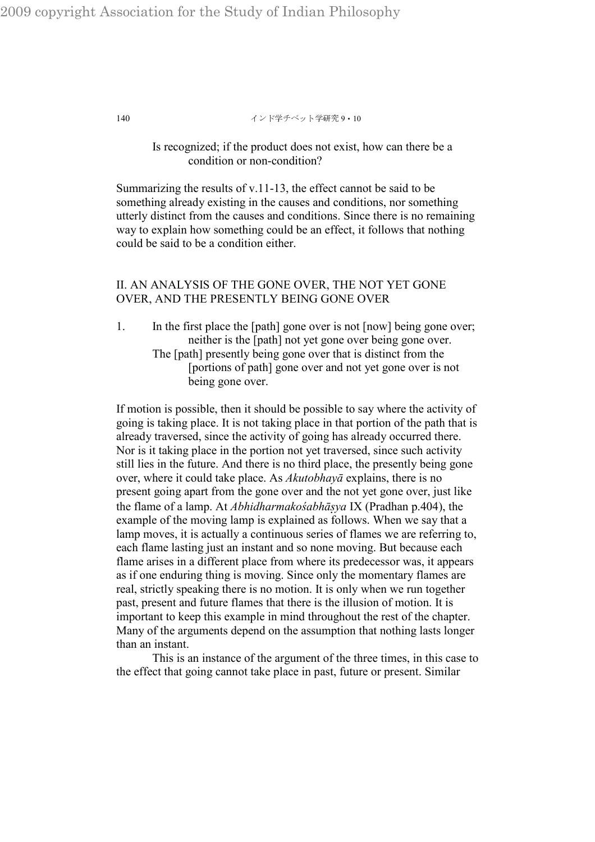Is recognized; if the product does not exist, how can there be a condition or non-condition?

Summarizing the results of  $v$ . 11-13, the effect cannot be said to be something already existing in the causes and conditions, nor something utterly distinct from the causes and conditions. Since there is no remaining way to explain how something could be an effect, it follows that nothing could be said to be a condition either.

# II. AN ANALYSIS OF THE GONE OVER, THE NOT YET GONE OVER, AND THE PRESENTLY BEING GONE OVER

 $\mathbf{1}$ In the first place the [path] gone over is not [now] being gone over; neither is the [path] not yet gone over being gone over. The [path] presently being gone over that is distinct from the [portions of path] gone over and not vet gone over is not being gone over.

If motion is possible, then it should be possible to say where the activity of going is taking place. It is not taking place in that portion of the path that is already traversed, since the activity of going has already occurred there. Nor is it taking place in the portion not yet traversed, since such activity still lies in the future. And there is no third place, the presently being gone over, where it could take place. As Akutobhaya explains, there is no present going apart from the gone over and the not yet gone over, just like the flame of a lamp. At *Abhidharmakośabhāsya* IX (Pradhan p.404), the example of the moving lamp is explained as follows. When we say that a lamp moves, it is actually a continuous series of flames we are referring to. each flame lasting just an instant and so none moving. But because each flame arises in a different place from where its predecessor was, it appears as if one enduring thing is moving. Since only the momentary flames are real, strictly speaking there is no motion. It is only when we run together past, present and future flames that there is the illusion of motion. It is important to keep this example in mind throughout the rest of the chapter. Many of the arguments depend on the assumption that nothing lasts longer than an instant

This is an instance of the argument of the three times, in this case to the effect that going cannot take place in past, future or present. Similar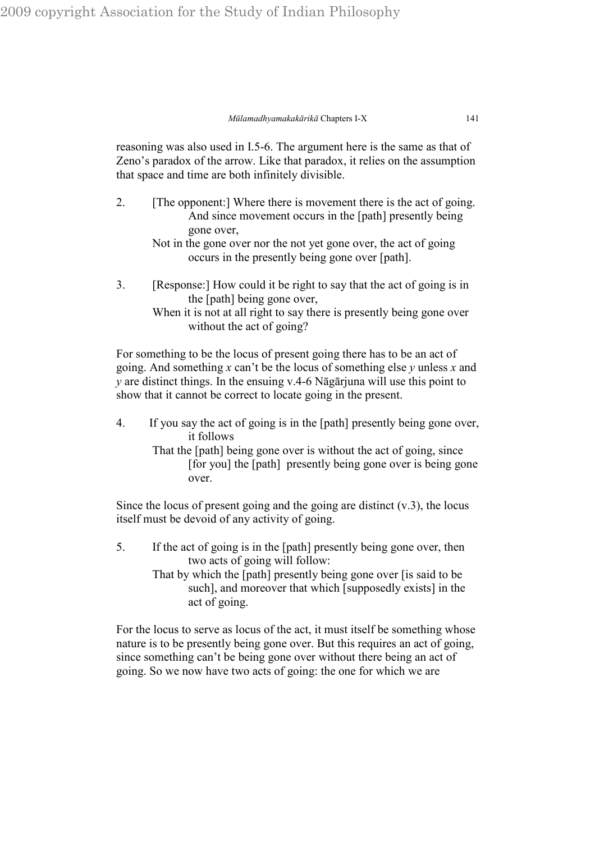reasoning was also used in 1.5-6. The argument here is the same as that of Zeno's paradox of the arrow. Like that paradox, it relies on the assumption that space and time are both infinitely divisible.

 $2<sub>1</sub>$ [The opponent:] Where there is movement there is the act of going. And since movement occurs in the [path] presently being gone over.

Not in the gone over nor the not yet gone over, the act of going occurs in the presently being gone over [path].

 $3<sub>1</sub>$ [Response:] How could it be right to say that the act of going is in the [path] being gone over,

For something to be the locus of present going there has to be an act of going. And something x can't be the locus of something else y unless x and  $\nu$  are distinct things. In the ensuing v.4-6 Nagariuna will use this point to show that it cannot be correct to locate going in the present.

- $\overline{4}$ . If you say the act of going is in the [path] presently being gone over, it follows
	- That the [path] being gone over is without the act of going, since [for you] the [path] presently being gone over is being gone over.

Since the locus of present going and the going are distinct  $(v.3)$ , the locus itself must be devoid of any activity of going.

5. If the act of going is in the [path] presently being gone over, then two acts of going will follow:

That by which the [path] presently being gone over [is said to be such], and moreover that which [supposedly exists] in the act of going.

For the locus to serve as locus of the act, it must itself be something whose nature is to be presently being gone over. But this requires an act of going, since something can't be being gone over without there being an act of going. So we now have two acts of going: the one for which we are

When it is not at all right to say there is presently being gone over without the act of going?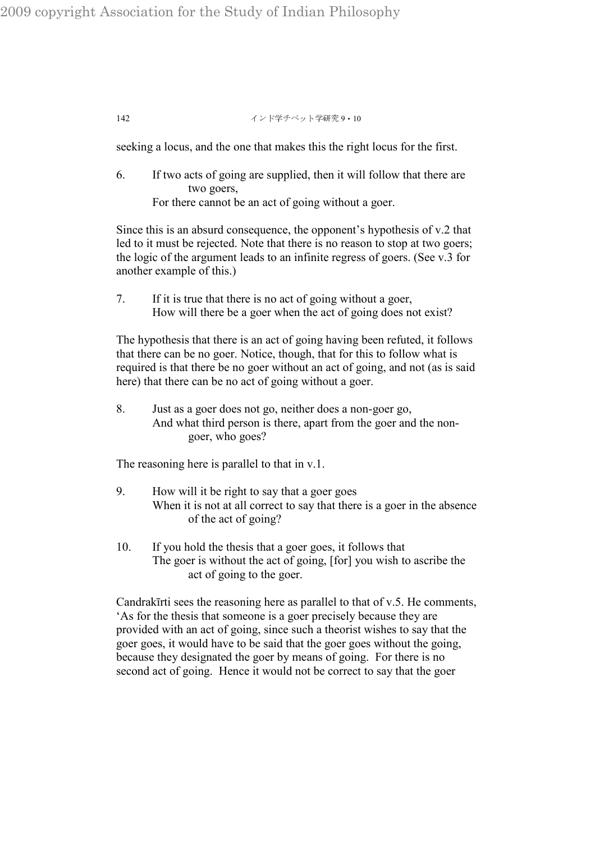$142$ 

## インド学チベット学研究9・10

seeking a locus, and the one that makes this the right locus for the first.

 $6<sub>l</sub>$ If two acts of going are supplied, then it will follow that there are two goers,

For there cannot be an act of going without a goer.

Since this is an absurd consequence, the opponent's hypothesis of v.2 that led to it must be rejected. Note that there is no reason to stop at two goers; the logic of the argument leads to an infinite regress of goers. (See v.3 for another example of this.)

 $7.$ If it is true that there is no act of going without a goer, How will there be a goer when the act of going does not exist?

The hypothesis that there is an act of going having been refuted, it follows that there can be no goer. Notice, though, that for this to follow what is required is that there be no goer without an act of going, and not (as is said here) that there can be no act of going without a goer.

8. Just as a goer does not go, neither does a non-goer go, And what third person is there, apart from the goer and the nongoer, who goes?

The reasoning here is parallel to that in v.1.

- $9<sub>1</sub>$ How will it be right to say that a goer goes When it is not at all correct to say that there is a goer in the absence of the act of going?
- 10. If you hold the thesis that a goer goes, it follows that The goer is without the act of going, [for] you wish to ascribe the act of going to the goer.

Candrakirti sees the reasoning here as parallel to that of v.5. He comments, As for the thesis that someone is a goer precisely because they are provided with an act of going, since such a theorist wishes to say that the goer goes, it would have to be said that the goer goes without the going, because they designated the goer by means of going. For there is no second act of going. Hence it would not be correct to say that the goer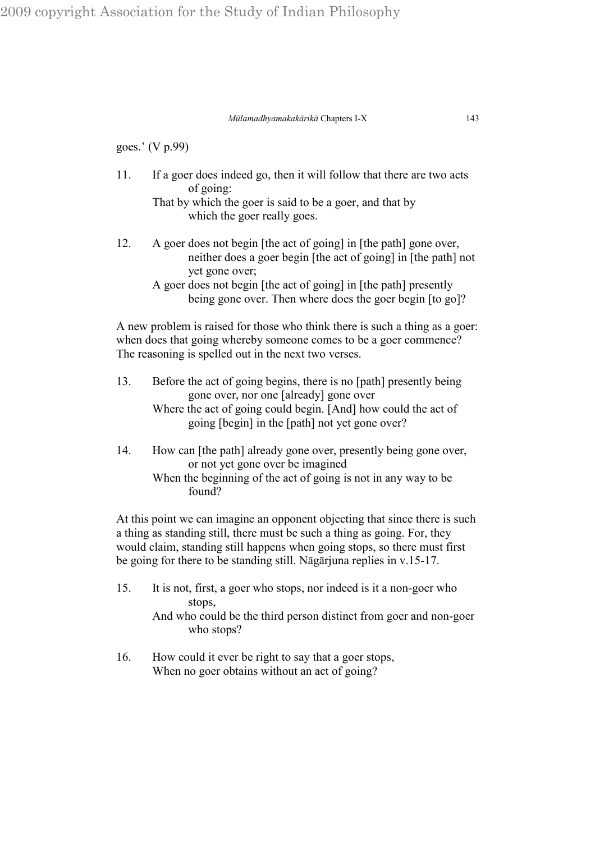goes.' (V p.99)

- $11$ If a goer does indeed go, then it will follow that there are two acts of going:
	- That by which the goer is said to be a goer, and that by which the goer really goes.
- $12.$ A goer does not begin [the act of going] in [the path] gone over, neither does a goer begin [the act of going] in [the path] not vet gone over;
	- A goer does not begin [the act of going] in [the path] presently being gone over. Then where does the goer begin [to go]?

A new problem is raised for those who think there is such a thing as a goer: when does that going whereby someone comes to be a goer commence? The reasoning is spelled out in the next two verses.

- $13.$ Before the act of going begins, there is no [path] presently being gone over, nor one [already] gone over Where the act of going could begin. [And] how could the act of going [begin] in the [path] not yet gone over?
- 14. How can [the path] already gone over, presently being gone over, or not yet gone over be imagined When the beginning of the act of going is not in any way to be found?

At this point we can imagine an opponent objecting that since there is such a thing as standing still, there must be such a thing as going. For, they would claim, standing still happens when going stops, so there must first be going for there to be standing still. Nāgārjuna replies in v.15-17.

- 15. It is not, first, a goer who stops, nor indeed is it a non-goer who stops, And who could be the third person distinct from goer and non-goer who stops?
- 16. How could it ever be right to say that a goer stops, When no goer obtains without an act of going?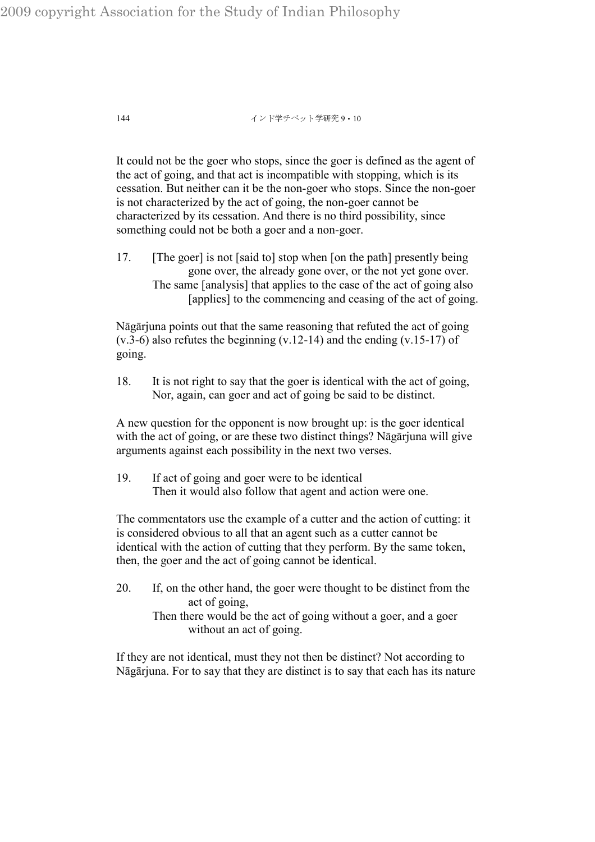It could not be the goer who stops, since the goer is defined as the agent of the act of going, and that act is incompatible with stopping, which is its cessation. But neither can it be the non-goer who stops. Since the non-goer is not characterized by the act of going, the non-goer cannot be characterized by its cessation. And there is no third possibility, since something could not be both a goer and a non-goer.

17. [The goer] is not [said to] stop when [on the path] presently being gone over, the already gone over, or the not yet gone over. The same [analysis] that applies to the case of the act of going also [applies] to the commencing and ceasing of the act of going.

Nāgārjuna points out that the same reasoning that refuted the act of going  $(v.3-6)$  also refutes the beginning  $(v.12-14)$  and the ending  $(v.15-17)$  of going.

18. It is not right to say that the goer is identical with the act of going. Nor, again, can goer and act of going be said to be distinct.

A new question for the opponent is now brought up: is the goer identical with the act of going, or are these two distinct things? Nagariuna will give arguments against each possibility in the next two verses.

19 If act of going and goer were to be identical Then it would also follow that agent and action were one.

The commentators use the example of a cutter and the action of cutting: it is considered obvious to all that an agent such as a cutter cannot be identical with the action of cutting that they perform. By the same token, then, the goer and the act of going cannot be identical.

20. If, on the other hand, the goer were thought to be distinct from the act of going, Then there would be the act of going without a goer, and a goer without an act of going.

If they are not identical, must they not then be distinct? Not according to Nāgārjuna. For to say that they are distinct is to say that each has its nature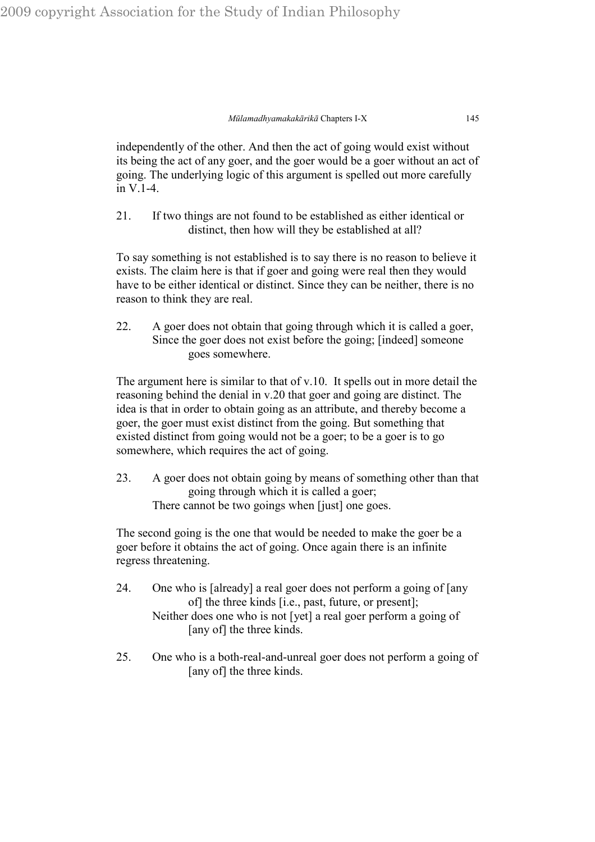independently of the other. And then the act of going would exist without its being the act of any goer, and the goer would be a goer without an act of going. The underlying logic of this argument is spelled out more carefully in  $V.1-4$ .

21 If two things are not found to be established as either identical or distinct, then how will they be established at all?

To say something is not established is to say there is no reason to believe it exists. The claim here is that if goer and going were real then they would have to be either identical or distinct. Since they can be neither, there is no reason to think they are real.

 $22$ A goer does not obtain that going through which it is called a goer, Since the goer does not exist before the going; [indeed] someone goes somewhere.

The argument here is similar to that of v.10. It spells out in more detail the reasoning behind the denial in v.20 that goer and going are distinct. The idea is that in order to obtain going as an attribute, and thereby become a goer, the goer must exist distinct from the going. But something that existed distinct from going would not be a goer; to be a goer is to go somewhere, which requires the act of going.

23. A goer does not obtain going by means of something other than that going through which it is called a goer; There cannot be two goings when [just] one goes.

The second going is the one that would be needed to make the goer be a goer before it obtains the act of going. Once again there is an infinite regress threatening.

- 24. One who is [already] a real goer does not perform a going of [any] of] the three kinds [i.e., past, future, or present]; Neither does one who is not [yet] a real goer perform a going of [any of] the three kinds.
- 25. One who is a both-real-and-unreal goer does not perform a going of [any of] the three kinds.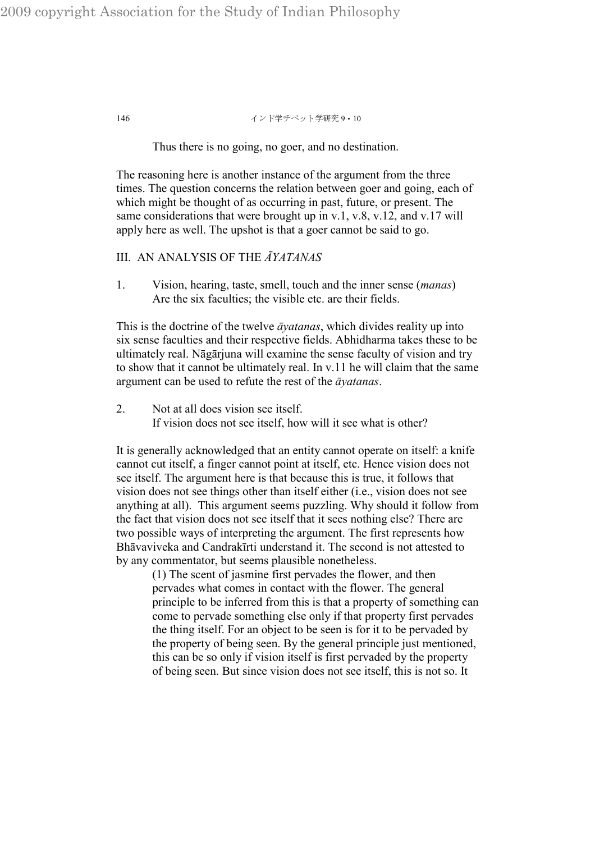Thus there is no going, no goer, and no destination.

The reasoning here is another instance of the argument from the three times. The question concerns the relation between goer and going, each of which might be thought of as occurring in past, future, or present. The same considerations that were brought up in v.1, v.8, v.12, and v.17 will apply here as well. The upshot is that a goer cannot be said to go.

# III. AN ANALYSIS OF THE ĀYATANAS

 $1<sub>1</sub>$ Vision, hearing, taste, smell, touch and the inner sense (*manas*) Are the six faculties; the visible etc. are their fields.

This is the doctrine of the twelve  $\bar{a}$ *yatanas*, which divides reality up into six sense faculties and their respective fields. Abhidharma takes these to be ultimately real. Nāgāriuna will examine the sense faculty of vision and try to show that it cannot be ultimately real. In y.11 he will claim that the same argument can be used to refute the rest of the *āvatanas*.

2. Not at all does vision see itself. If vision does not see itself, how will it see what is other?

It is generally acknowledged that an entity cannot operate on itself: a knife cannot cut itself, a finger cannot point at itself, etc. Hence vision does not see itself. The argument here is that because this is true, it follows that vision does not see things other than itself either (*i.e.*, vision does not see anything at all). This argument seems puzzling. Why should it follow from the fact that vision does not see itself that it sees nothing else? There are two possible ways of interpreting the argument. The first represents how Bhāvaviveka and Candrakīrti understand it. The second is not attested to by any commentator, but seems plausible nonetheless.

(1) The scent of jasmine first pervades the flower, and then pervades what comes in contact with the flower. The general principle to be inferred from this is that a property of something can come to pervade something else only if that property first pervades the thing itself. For an object to be seen is for it to be pervaded by the property of being seen. By the general principle just mentioned, this can be so only if vision itself is first pervaded by the property of being seen. But since vision does not see itself, this is not so. It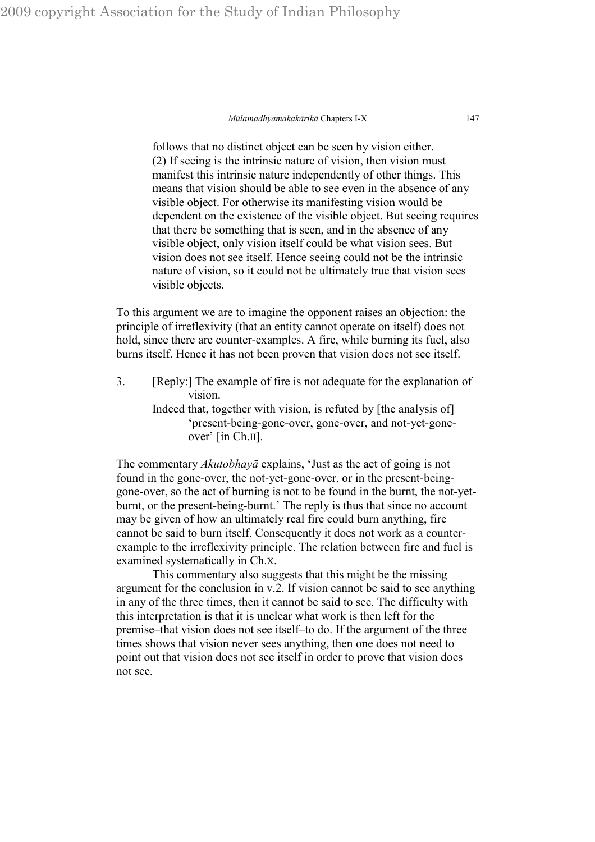follows that no distinct object can be seen by vision either. (2) If seeing is the intrinsic nature of vision, then vision must manifest this intrinsic nature independently of other things. This means that vision should be able to see even in the absence of any visible object. For otherwise its manifesting vision would be dependent on the existence of the visible object. But seeing requires that there be something that is seen, and in the absence of any visible object, only vision itself could be what vision sees. But vision does not see itself. Hence seeing could not be the intrinsic nature of vision, so it could not be ultimately true that vision sees visible objects.

To this argument we are to imagine the opponent raises an objection: the principle of irreflexivity (that an entity cannot operate on itself) does not hold, since there are counter-examples. A fire, while burning its fuel, also burns itself. Hence it has not been proven that vision does not see itself.

 $3<sub>1</sub>$ [Reply:] The example of fire is not adequate for the explanation of vision.

> Indeed that, together with vision, is refuted by [the analysis of] 'present-being-gone-over, gone-over, and not-yet-goneover' [in Ch.II].

The commentary *Akutobhaya* explains, 'Just as the act of going is not found in the gone-over, the not-yet-gone-over, or in the present-beinggone-over, so the act of burning is not to be found in the burnt, the not-vetburnt, or the present-being-burnt.' The reply is thus that since no account may be given of how an ultimately real fire could burn anything, fire cannot be said to burn itself. Consequently it does not work as a counterexample to the irreflexivity principle. The relation between fire and fuel is examined systematically in Ch.x.

This commentary also suggests that this might be the missing argument for the conclusion in v.2. If vision cannot be said to see anything in any of the three times, then it cannot be said to see. The difficulty with this interpretation is that it is unclear what work is then left for the premise-that vision does not see itself-to do. If the argument of the three times shows that vision never sees anything, then one does not need to point out that vision does not see itself in order to prove that vision does not see.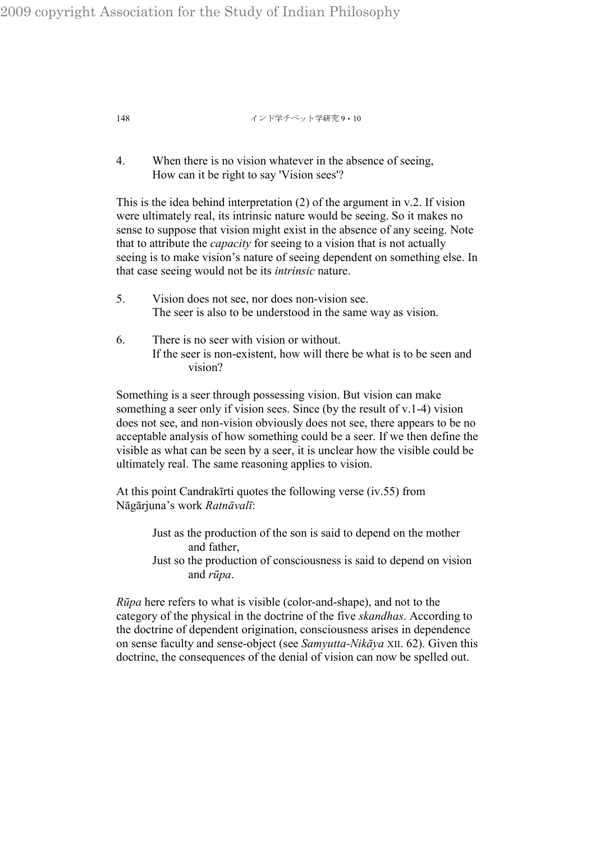148

When there is no vision whatever in the absence of seeing,  $\overline{4}$ .

How can it be right to say 'Vision sees'?

This is the idea behind interpretation  $(2)$  of the argument in v.2. If vision were ultimately real, its intrinsic nature would be seeing. So it makes no sense to suppose that vision might exist in the absence of any seeing. Note that to attribute the *capacity* for seeing to a vision that is not actually seeing is to make vision's nature of seeing dependent on something else. In that case seeing would not be its *intrinsic* nature.

インド学チベット学研究9・10

- 5. Vision does not see, nor does non-vision see. The seer is also to be understood in the same way as vision.
- 6. There is no seer with vision or without. If the seer is non-existent, how will there be what is to be seen and vision?

Something is a seer through possessing vision. But vision can make something a seer only if vision sees. Since (by the result of v.1-4) vision does not see, and non-vision obviously does not see, there appears to be no acceptable analysis of how something could be a seer. If we then define the visible as what can be seen by a seer, it is unclear how the visible could be ultimately real. The same reasoning applies to vision.

At this point Candrakirti quotes the following verse (iv.55) from Nāgārjuna's work Ratnāvalī:

> Just as the production of the son is said to depend on the mother and father. Just so the production of consciousness is said to depend on vision and rūpa.

*Rūpa* here refers to what is visible (color-and-shape), and not to the category of the physical in the doctrine of the five skandhas. According to the doctrine of dependent origination, consciousness arises in dependence on sense faculty and sense-object (see Samyutta-Nikāya XII, 62). Given this doctrine, the consequences of the denial of vision can now be spelled out.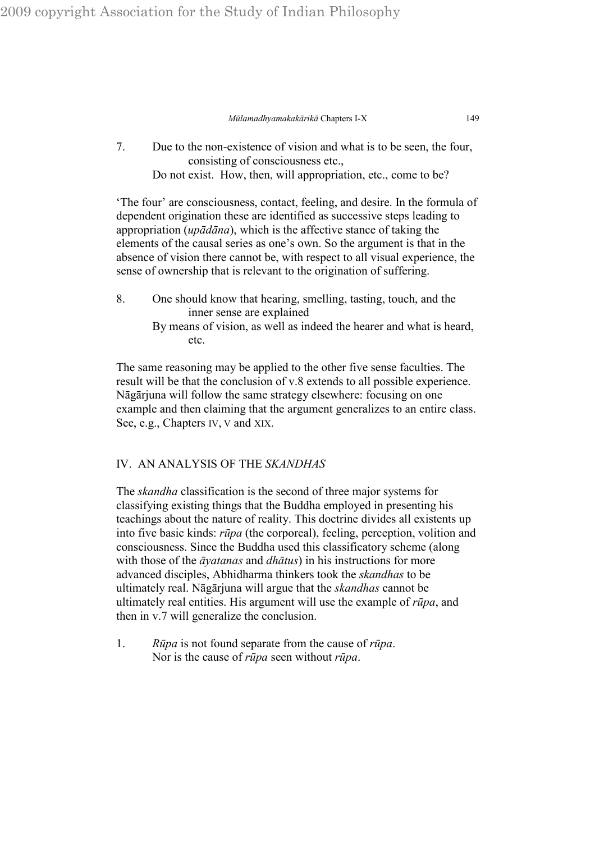$7<sup>7</sup>$ Due to the non-existence of vision and what is to be seen, the four, consisting of consciousness etc.,

Do not exist. How, then, will appropriation, etc., come to be?

'The four' are consciousness, contact, feeling, and desire. In the formula of dependent origination these are identified as successive steps leading to appropriation  $(\mu p \bar{a} d \bar{a} n a)$ , which is the affective stance of taking the elements of the causal series as one's own. So the argument is that in the absence of vision there cannot be, with respect to all visual experience, the sense of ownership that is relevant to the origination of suffering.

- 8. One should know that hearing, smelling, tasting, touch, and the inner sense are explained
	- By means of vision, as well as indeed the hearer and what is heard.  $etc.$

The same reasoning may be applied to the other five sense faculties. The result will be that the conclusion of v.8 extends to all possible experience. Nāgārjuna will follow the same strategy elsewhere: focusing on one example and then claiming that the argument generalizes to an entire class. See, e.g., Chapters IV, V and XIX.

# IV. AN ANALYSIS OF THE SKANDHAS

The *skandha* classification is the second of three major systems for classifying existing things that the Buddha employed in presenting his teachings about the nature of reality. This doctrine divides all existents up into five basic kinds: rūpa (the corporeal), feeling, perception, volition and consciousness. Since the Buddha used this classificatory scheme (along with those of the  $āyatanas$  and  $dh\bar{a}tus$  in his instructions for more advanced disciples. Abhidharma thinkers took the *skandhas* to be ultimately real. Nāgārjuna will argue that the *skandhas* cannot be ultimately real entities. His argument will use the example of *rūpa*, and then in v.7 will generalize the conclusion.

 $\mathbf{1}$  $R\bar{u}pa$  is not found separate from the cause of  $r\bar{u}pa$ . Nor is the cause of  $r\bar{u}pa$  seen without  $r\bar{u}pa$ .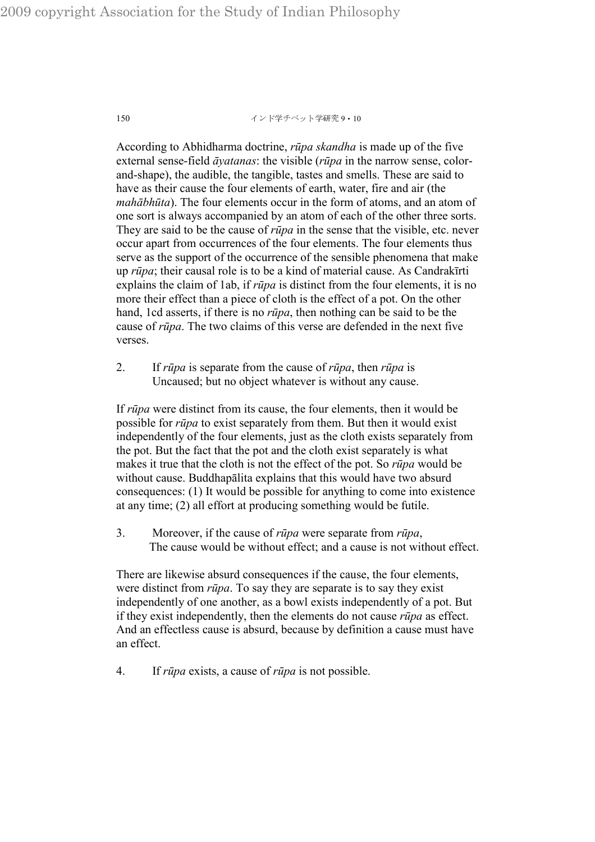According to Abhidharma doctrine, *rūpa skandha* is made up of the five external sense-field *āyatanas*: the visible (*rūpa* in the narrow sense, colorand-shape), the audible, the tangible, tastes and smells. These are said to have as their cause the four elements of earth, water, fire and air (the *mahābhūta*). The four elements occur in the form of atoms, and an atom of one sort is always accompanied by an atom of each of the other three sorts. They are said to be the cause of  $r\bar{u}pa$  in the sense that the visible, etc. never occur apart from occurrences of the four elements. The four elements thus serve as the support of the occurrence of the sensible phenomena that make up rūpa; their causal role is to be a kind of material cause. As Candrakīrti explains the claim of 1ab, if  $r\bar{u}pa$  is distinct from the four elements, it is no more their effect than a piece of cloth is the effect of a pot. On the other hand, 1cd asserts, if there is no *rūpa*, then nothing can be said to be the cause of rūpa. The two claims of this verse are defended in the next five verses.

 $\overline{2}$ If rūpa is separate from the cause of rūpa, then rūpa is Uncaused; but no object whatever is without any cause.

If rūpa were distinct from its cause, the four elements, then it would be possible for *rūpa* to exist separately from them. But then it would exist independently of the four elements, just as the cloth exists separately from the pot. But the fact that the pot and the cloth exist separately is what makes it true that the cloth is not the effect of the pot. So rūpa would be without cause. Buddhapalita explains that this would have two absurd consequences: (1) It would be possible for anything to come into existence at any time; (2) all effort at producing something would be futile.

 $3<sub>1</sub>$ Moreover, if the cause of *rūpa* were separate from *rūpa*, The cause would be without effect; and a cause is not without effect.

There are likewise absurd consequences if the cause, the four elements, were distinct from rūpa. To say they are separate is to say they exist independently of one another, as a bowl exists independently of a pot. But if they exist independently, then the elements do not cause  $r\bar{u}pa$  as effect. And an effectless cause is absurd, because by definition a cause must have an effect

 $\overline{4}$ . If rūpa exists, a cause of rūpa is not possible.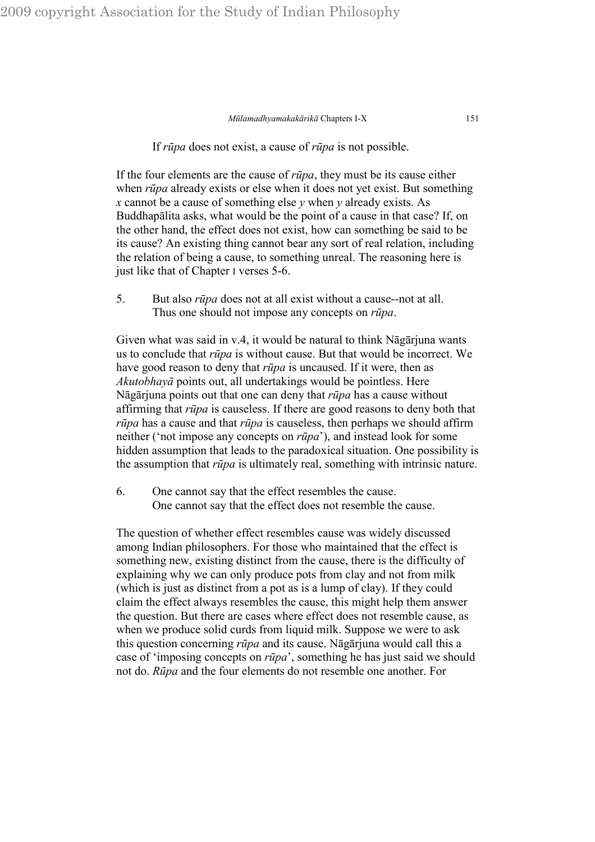If rūpa does not exist, a cause of rūpa is not possible.

If the four elements are the cause of  $r\bar{u}pa$ , they must be its cause either when *rūpa* already exists or else when it does not yet exist. But something x cannot be a cause of something else  $y$  when  $y$  already exists. As Buddhapalita asks, what would be the point of a cause in that case? If, on the other hand, the effect does not exist, how can something be said to be its cause? An existing thing cannot bear any sort of real relation, including the relation of being a cause, to something unreal. The reasoning here is just like that of Chapter I verses 5-6.

5. But also *rūpa* does not at all exist without a cause--not at all. Thus one should not impose any concepts on rūpa.

Given what was said in v.4, it would be natural to think Nāgārjuna wants us to conclude that *rūpa* is without cause. But that would be incorrect. We have good reason to deny that  $r\bar{u}pa$  is uncaused. If it were, then as Akutobhavā points out, all undertakings would be pointless. Here Nāgārjuna points out that one can deny that  $r\bar{u}pa$  has a cause without affirming that  $r\bar{u}pa$  is causeless. If there are good reasons to deny both that  $r\bar{u}pa$  has a cause and that  $r\bar{u}pa$  is causeless, then perhaps we should affirm neither ('not impose any concepts on *rūpa*'), and instead look for some hidden assumption that leads to the paradoxical situation. One possibility is the assumption that *rūpa* is ultimately real, something with intrinsic nature.

6. One cannot say that the effect resembles the cause. One cannot say that the effect does not resemble the cause.

The question of whether effect resembles cause was widely discussed among Indian philosophers. For those who maintained that the effect is something new, existing distinct from the cause, there is the difficulty of explaining why we can only produce pots from clay and not from milk (which is just as distinct from a pot as is a lump of clay). If they could claim the effect always resembles the cause, this might help them answer the question. But there are cases where effect does not resemble cause, as when we produce solid curds from liquid milk. Suppose we were to ask this question concerning *rūpa* and its cause. Nāgārjuna would call this a case of 'imposing concepts on rūpa', something he has just said we should not do. Rūpa and the four elements do not resemble one another. For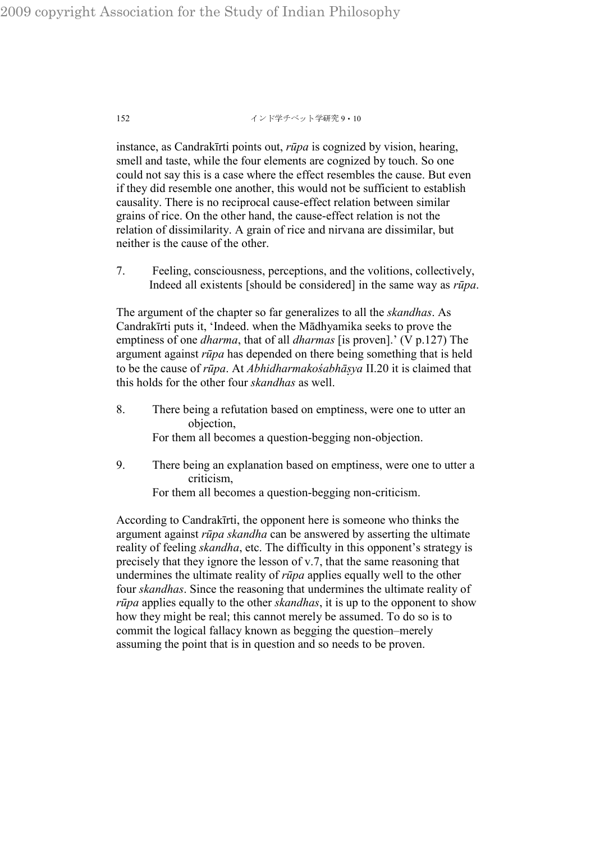instance, as Candrakirti points out, *rūpa* is cognized by vision, hearing, smell and taste, while the four elements are cognized by touch. So one could not say this is a case where the effect resembles the cause. But even if they did resemble one another, this would not be sufficient to establish causality. There is no reciprocal cause-effect relation between similar grains of rice. On the other hand, the cause-effect relation is not the relation of dissimilarity. A grain of rice and nirvana are dissimilar, but neither is the cause of the other.

 $7.$ Feeling, consciousness, perceptions, and the volitions, collectively, Indeed all existents [should be considered] in the same way as rūpa.

The argument of the chapter so far generalizes to all the *skandhas*. As Candrakīrti puts it, 'Indeed. when the Mādhyamika seeks to prove the emptiness of one *dharma*, that of all *dharmas* [is proven].' (V p.127) The argument against *rūpa* has depended on there being something that is held to be the cause of rūpa. At Abhidharmakośabhāsya II.20 it is claimed that this holds for the other four *skandhas* as well

- 8. There being a refutation based on emptiness, were one to utter an objection. For them all becomes a question-begging non-objection.
- 9. There being an explanation based on emptiness, were one to utter a criticism. For them all becomes a question-begging non-criticism.

According to Candrakitti, the opponent here is someone who thinks the argument against *rūpa skandha* can be answered by asserting the ultimate reality of feeling skandha, etc. The difficulty in this opponent's strategy is precisely that they ignore the lesson of v.7, that the same reasoning that undermines the ultimate reality of *rūpa* applies equally well to the other four *skandhas*. Since the reasoning that undermines the ultimate reality of  $r\bar{u}pa$  applies equally to the other *skandhas*, it is up to the opponent to show how they might be real; this cannot merely be assumed. To do so is to commit the logical fallacy known as begging the question–merely assuming the point that is in question and so needs to be proven.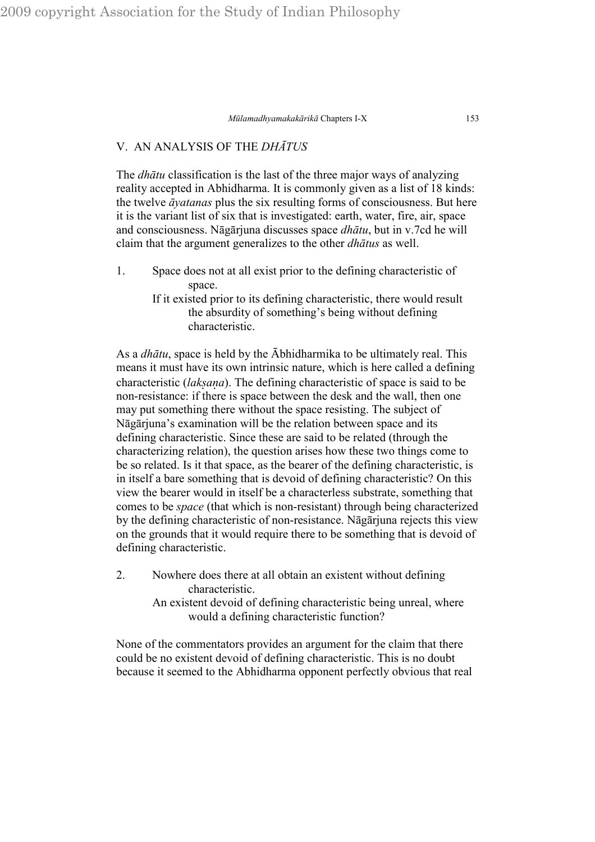## V AN ANALYSIS OF THE DHĀTUS

The *dhātu* classification is the last of the three major ways of analyzing reality accepted in Abhidharma. It is commonly given as a list of 18 kinds: the twelve *ayatanas* plus the six resulting forms of consciousness. But here it is the variant list of six that is investigated: earth, water, fire, air, space and consciousness. Nāgārjuna discusses space *dhātu*, but in v.7cd he will claim that the argument generalizes to the other *dhātus* as well.

- $1.$ Space does not at all exist prior to the defining characteristic of space.
	- If it existed prior to its defining characteristic, there would result the absurdity of something's being without defining characteristic

As a *dhātu*, space is held by the Abhidharmika to be ultimately real. This means it must have its own intrinsic nature, which is here called a defining characteristic *(laksana)*. The defining characteristic of space is said to be non-resistance: if there is space between the desk and the wall, then one may put something there without the space resisting. The subject of Nāgāriuna's examination will be the relation between space and its defining characteristic. Since these are said to be related (through the characterizing relation), the question arises how these two things come to be so related. Is it that space, as the bearer of the defining characteristic, is in itself a bare something that is devoid of defining characteristic? On this view the bearer would in itself be a characterless substrate, something that comes to be *space* (that which is non-resistant) through being characterized by the defining characteristic of non-resistance. Nāgāriuna rejects this view on the grounds that it would require there to be something that is devoid of defining characteristic.

 $2<sub>1</sub>$ Nowhere does there at all obtain an existent without defining characteristic.

An existent devoid of defining characteristic being unreal, where would a defining characteristic function?

None of the commentators provides an argument for the claim that there could be no existent devoid of defining characteristic. This is no doubt because it seemed to the Abhidharma opponent perfectly obvious that real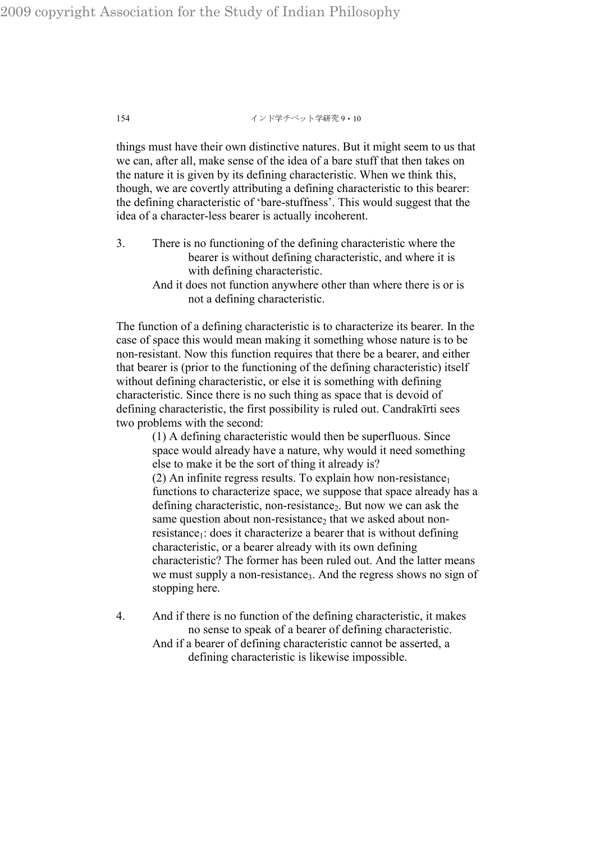things must have their own distinctive natures. But it might seem to us that we can, after all, make sense of the idea of a bare stuff that then takes on the nature it is given by its defining characteristic. When we think this, though, we are covertly attributing a defining characteristic to this bearer. the defining characteristic of 'bare-stuffness'. This would suggest that the idea of a character-less bearer is actually incoherent.

- $3<sub>1</sub>$ There is no functioning of the defining characteristic where the bearer is without defining characteristic, and where it is with defining characteristic.
	- And it does not function anywhere other than where there is or is not a defining characteristic.

The function of a defining characteristic is to characterize its bearer. In the case of space this would mean making it something whose nature is to be non-resistant. Now this function requires that there be a bearer, and either that bearer is (prior to the functioning of the defining characteristic) itself without defining characteristic, or else it is something with defining characteristic. Since there is no such thing as space that is devoid of defining characteristic, the first possibility is ruled out. Candrakīrti sees two problems with the second:

(1) A defining characteristic would then be superfluous. Since space would already have a nature, why would it need something else to make it be the sort of thing it already is?

 $(2)$  An infinite regress results. To explain how non-resistance functions to characterize space, we suppose that space already has a defining characteristic, non-resistance, But now we can ask the same question about non-resistance<sub>2</sub> that we asked about nonresistance<sub>1</sub>: does it characterize a bearer that is without defining characteristic, or a bearer already with its own defining characteristic? The former has been ruled out. And the latter means we must supply a non-resistance, And the regress shows no sign of stopping here.

 $4.$ And if there is no function of the defining characteristic, it makes no sense to speak of a bearer of defining characteristic. And if a bearer of defining characteristic cannot be asserted, a defining characteristic is likewise impossible.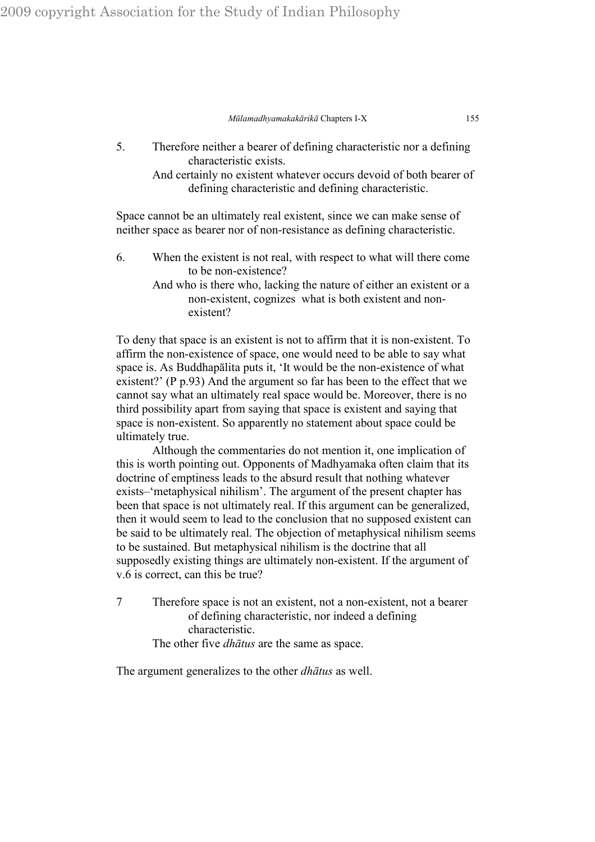$\overline{5}$ Therefore neither a bearer of defining characteristic nor a defining characteristic exists.

> And certainly no existent whatever occurs devoid of both bearer of defining characteristic and defining characteristic.

Space cannot be an ultimately real existent, since we can make sense of neither space as bearer nor of non-resistance as defining characteristic.

- 6. When the existent is not real, with respect to what will there come to be non-existence?
	- And who is there who, lacking the nature of either an existent or a non-existent, cognizes what is both existent and nonexistent?

To deny that space is an existent is not to affirm that it is non-existent. To affirm the non-existence of space, one would need to be able to say what space is. As Buddhapalita puts it, 'It would be the non-existence of what existent?' (P p.93) And the argument so far has been to the effect that we cannot say what an ultimately real space would be. Moreover, there is no third possibility apart from saying that space is existent and saying that space is non-existent. So apparently no statement about space could be ultimately true.

Although the commentaries do not mention it, one implication of this is worth pointing out. Opponents of Madhyamaka often claim that its doctrine of emptiness leads to the absurd result that nothing whatever exists-'metaphysical nihilism'. The argument of the present chapter has been that space is not ultimately real. If this argument can be generalized, then it would seem to lead to the conclusion that no supposed existent can be said to be ultimately real. The objection of metaphysical nihilism seems to be sustained. But metaphysical nihilism is the doctrine that all supposedly existing things are ultimately non-existent. If the argument of v.6 is correct, can this be true?

 $\overline{7}$ Therefore space is not an existent, not a non-existent, not a bearer of defining characteristic, nor indeed a defining characteristic. The other five *dhātus* are the same as space.

The argument generalizes to the other *dhātus* as well.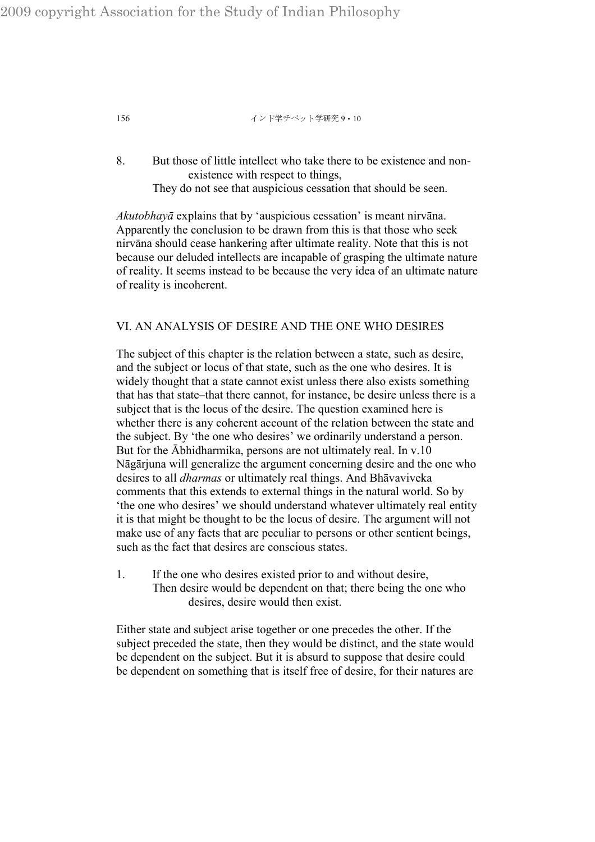8. But those of little intellect who take there to be existence and nonexistence with respect to things. They do not see that auspicious cessation that should be seen.

Akutobhayā explains that by 'auspicious cessation' is meant nirvāna. Apparently the conclusion to be drawn from this is that those who seek nirvāna should cease hankering after ultimate reality. Note that this is not because our deluded intellects are incapable of grasping the ultimate nature of reality. It seems instead to be because the very idea of an ultimate nature of reality is incoherent.

# VI AN ANALYSIS OF DESIRE AND THE ONE WHO DESIRES

The subject of this chapter is the relation between a state, such as desire, and the subject or locus of that state, such as the one who desires. It is widely thought that a state cannot exist unless there also exists something that has that state-that there cannot, for instance, be desire unless there is a subject that is the locus of the desire. The question examined here is whether there is any coherent account of the relation between the state and the subject. By 'the one who desires' we ordinarily understand a person. But for the Abhidharmika, persons are not ultimately real. In v.10 Nāgārjuna will generalize the argument concerning desire and the one who desires to all *dharmas* or ultimately real things. And Bhavaviveka comments that this extends to external things in the natural world. So by 'the one who desires' we should understand whatever ultimately real entity it is that might be thought to be the locus of desire. The argument will not make use of any facts that are peculiar to persons or other sentient beings, such as the fact that desires are conscious states.

 $1.$ If the one who desires existed prior to and without desire. Then desire would be dependent on that; there being the one who desires, desire would then exist.

Either state and subject arise together or one precedes the other. If the subject preceded the state, then they would be distinct, and the state would be dependent on the subject. But it is absurd to suppose that desire could be dependent on something that is itself free of desire, for their natures are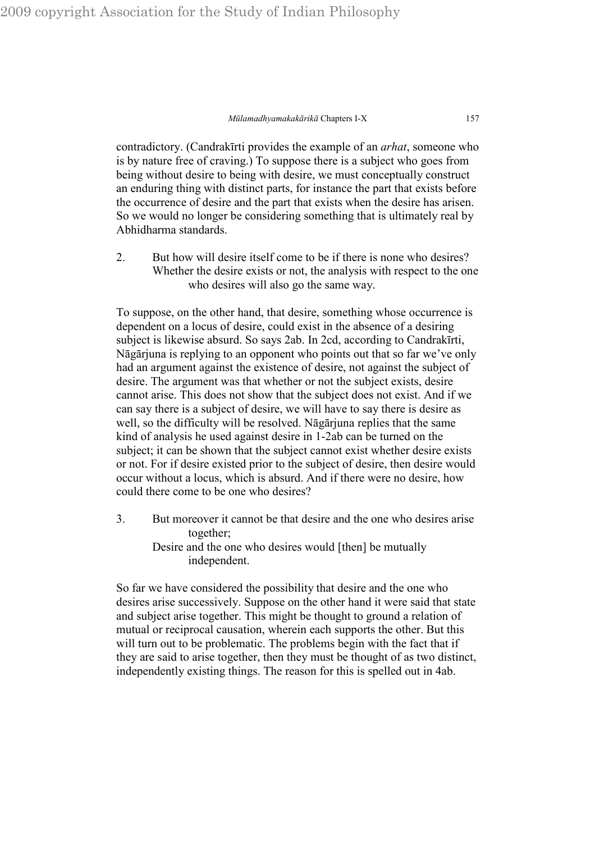contradictory. (Candrakīrti provides the example of an *arhat*, someone who is by nature free of craving.) To suppose there is a subject who goes from being without desire to being with desire, we must conceptually construct an enduring thing with distinct parts, for instance the part that exists before the occurrence of desire and the part that exists when the desire has arisen. So we would no longer be considering something that is ultimately real by Abhidharma standards.

 $\overline{2}$ . But how will desire itself come to be if there is none who desires? Whether the desire exists or not, the analysis with respect to the one who desires will also go the same way.

To suppose, on the other hand, that desire, something whose occurrence is dependent on a locus of desire, could exist in the absence of a desiring subject is likewise absurd. So says 2ab. In 2cd, according to Candrakirti, Nāgārjuna is replying to an opponent who points out that so far we've only had an argument against the existence of desire, not against the subject of desire. The argument was that whether or not the subject exists, desire cannot arise. This does not show that the subject does not exist. And if we can say there is a subject of desire, we will have to say there is desire as well, so the difficulty will be resolved. Nāgārjuna replies that the same kind of analysis he used against desire in 1-2ab can be turned on the subject; it can be shown that the subject cannot exist whether desire exists or not. For if desire existed prior to the subject of desire, then desire would occur without a locus, which is absurd. And if there were no desire, how could there come to be one who desires?

 $3<sub>1</sub>$ But moreover it cannot be that desire and the one who desires arise together: Desire and the one who desires would [then] be mutually independent.

So far we have considered the possibility that desire and the one who desires arise successively. Suppose on the other hand it were said that state and subject arise together. This might be thought to ground a relation of mutual or reciprocal causation, wherein each supports the other. But this will turn out to be problematic. The problems begin with the fact that if they are said to arise together, then they must be thought of as two distinct, independently existing things. The reason for this is spelled out in 4ab.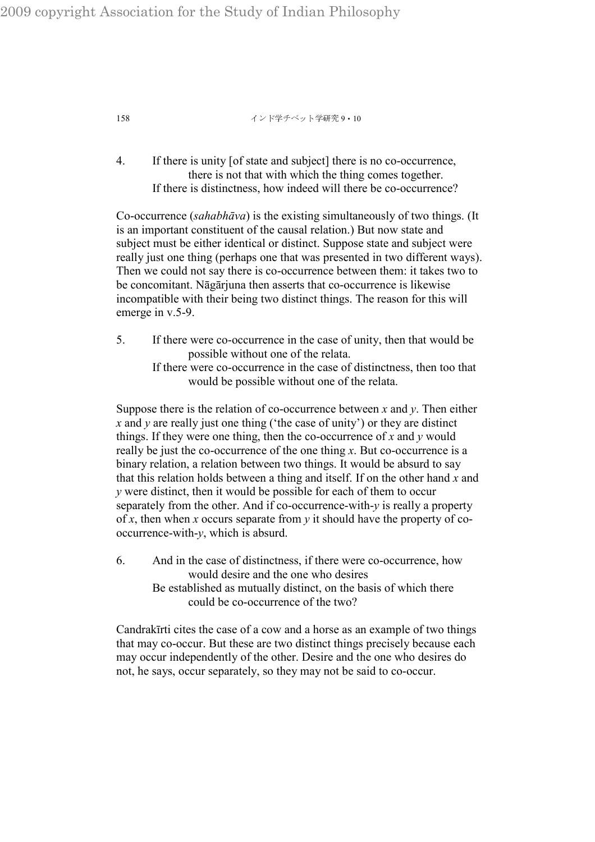$\overline{4}$ . If there is unity [of state and subject] there is no co-occurrence, there is not that with which the thing comes together. If there is distinctness, how indeed will there be co-occurrence?

Co-occurrence (sahabh $\bar{a}va$ ) is the existing simultaneously of two things. (It is an important constituent of the causal relation.) But now state and subject must be either identical or distinct. Suppose state and subject were really just one thing (perhaps one that was presented in two different ways). Then we could not say there is co-occurrence between them: it takes two to be concomitant. Nāgārjuna then asserts that co-occurrence is likewise incompatible with their being two distinct things. The reason for this will emerge in  $v.5-9$ .

- $\overline{\mathbf{5}}$ If there were co-occurrence in the case of unity, then that would be possible without one of the relata.
	- If there were co-occurrence in the case of distinctness, then too that would be possible without one of the relata.

Suppose there is the relation of co-occurrence between x and y. Then either x and y are really just one thing ('the case of unity') or they are distinct things. If they were one thing, then the co-occurrence of x and y would really be just the co-occurrence of the one thing  $x$ . But co-occurrence is a binary relation, a relation between two things. It would be absurd to say that this relation holds between a thing and itself. If on the other hand  $x$  and  $\nu$  were distinct, then it would be possible for each of them to occur separately from the other. And if co-occurrence-with- $\nu$  is really a property of x, then when x occurs separate from y it should have the property of cooccurrence-with- $y$ , which is absurd.

And in the case of distinctness, if there were co-occurrence, how  $6<sub>l</sub>$ would desire and the one who desires Be established as mutually distinct, on the basis of which there could be co-occurrence of the two?

Candrakīrti cites the case of a cow and a horse as an example of two things that may co-occur. But these are two distinct things precisely because each may occur independently of the other. Desire and the one who desires do not, he says, occur separately, so they may not be said to co-occur.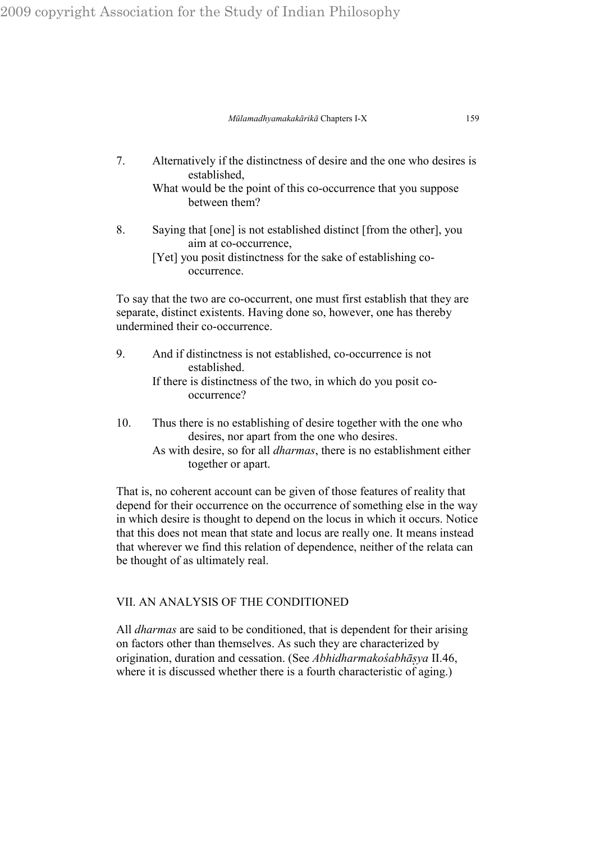- $7<sub>1</sub>$ Alternatively if the distinctness of desire and the one who desires is established.
	- What would be the point of this co-occurrence that you suppose between them?
- 8. Saying that [one] is not established distinct [from the other], you aim at co-occurrence,

[Yet] you posit distinctness for the sake of establishing cooccurrence.

To say that the two are co-occurrent, one must first establish that they are separate, distinct existents. Having done so, however, one has thereby undermined their co-occurrence.

- $9<sub>1</sub>$ And if distinctness is not established, co-occurrence is not established If there is distinctness of the two, in which do you posit cooccurrence?
- $10<sup>1</sup>$ Thus there is no establishing of desire together with the one who desires, nor apart from the one who desires.
	- As with desire, so for all *dharmas*, there is no establishment either together or apart.

That is, no coherent account can be given of those features of reality that depend for their occurrence on the occurrence of something else in the way in which desire is thought to depend on the locus in which it occurs. Notice that this does not mean that state and locus are really one. It means instead that wherever we find this relation of dependence, neither of the relata can be thought of as ultimately real.

## VII. AN ANALYSIS OF THE CONDITIONED

All *dharmas* are said to be conditioned, that is dependent for their arising on factors other than themselves. As such they are characterized by origination, duration and cessation. (See Abhidharmakośabhāsya II.46, where it is discussed whether there is a fourth characteristic of aging.)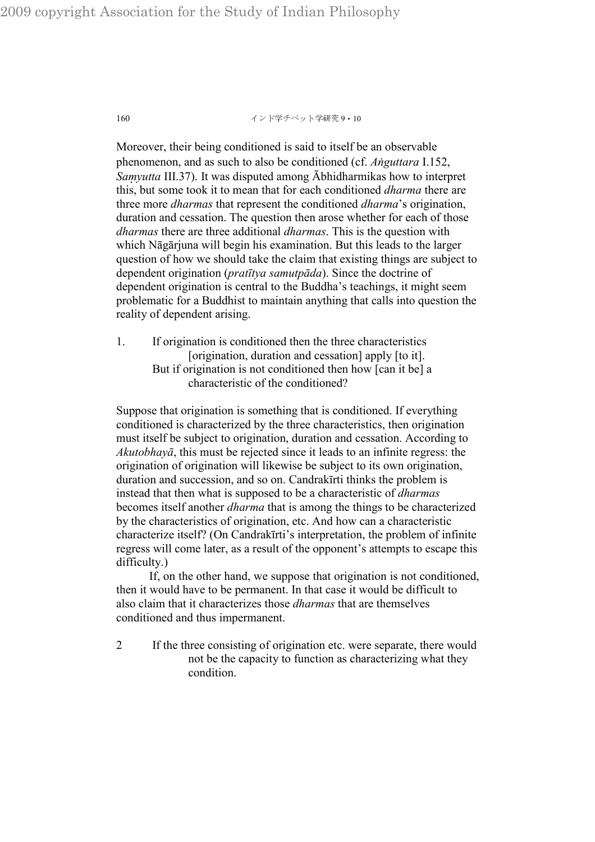Moreover, their being conditioned is said to itself be an observable phenomenon, and as such to also be conditioned (cf. *Anguttara* I.152, *Samvutta* III.37). It was disputed among Abhidharmikas how to interpret this, but some took it to mean that for each conditioned *dharma* there are three more *dharmas* that represent the conditioned *dharma*'s origination, duration and cessation. The question then arose whether for each of those *dharmas* there are three additional *dharmas*. This is the question with which Nāgārjuna will begin his examination. But this leads to the larger question of how we should take the claim that existing things are subject to dependent origination (*pratitya samutpāda*). Since the doctrine of dependent origination is central to the Buddha's teachings, it might seem problematic for a Buddhist to maintain anything that calls into question the reality of dependent arising.

 $1<sub>1</sub>$ If origination is conditioned then the three characteristics [origination, duration and cessation] apply [to it]. But if origination is not conditioned then how [can it be] a characteristic of the conditioned?

Suppose that origination is something that is conditioned. If everything conditioned is characterized by the three characteristics, then origination must itself be subject to origination, duration and cessation. According to *Akutobhayā*, this must be rejected since it leads to an infinite regress: the origination of origination will likewise be subject to its own origination. duration and succession, and so on. Candrakīrti thinks the problem is instead that then what is supposed to be a characteristic of *dharmas* becomes itself another *dharma* that is among the things to be characterized by the characteristics of origination, etc. And how can a characteristic characterize itself? (On Candrakīrti's interpretation, the problem of infinite regress will come later, as a result of the opponent's attempts to escape this difficulty.)

If, on the other hand, we suppose that origination is not conditioned, then it would have to be permanent. In that case it would be difficult to also claim that it characterizes those *dharmas* that are themselves conditioned and thus impermanent.

 $\overline{2}$ If the three consisting of origination etc. were separate, there would not be the capacity to function as characterizing what they condition.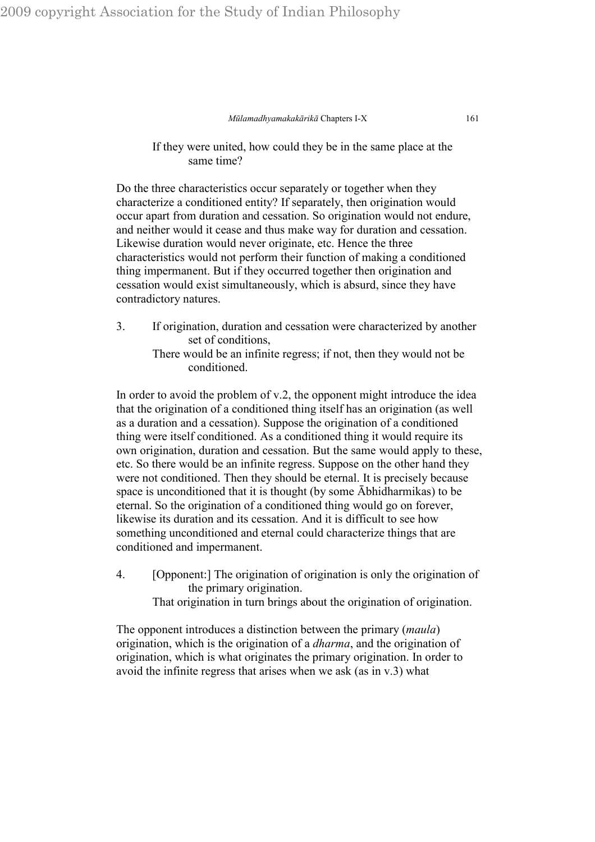If they were united, how could they be in the same place at the same time?

Do the three characteristics occur separately or together when they characterize a conditioned entity? If separately, then origination would occur apart from duration and cessation. So origination would not endure. and neither would it cease and thus make way for duration and cessation. Likewise duration would never originate, etc. Hence the three characteristics would not perform their function of making a conditioned thing impermanent. But if they occurred together then origination and cessation would exist simultaneously, which is absurd, since they have contradictory natures.

- $\overline{3}$ . If origination, duration and cessation were characterized by another set of conditions.
	- There would be an infinite regress; if not, then they would not be conditioned

In order to avoid the problem of v.2, the opponent might introduce the idea that the origination of a conditioned thing itself has an origination (as well as a duration and a cessation). Suppose the origination of a conditioned thing were itself conditioned. As a conditioned thing it would require its own origination, duration and cessation. But the same would apply to these, etc. So there would be an infinite regress. Suppose on the other hand they were not conditioned. Then they should be eternal. It is precisely because space is unconditioned that it is thought (by some  $\bar{A}$ bhidharmikas) to be eternal. So the origination of a conditioned thing would go on forever, likewise its duration and its cessation. And it is difficult to see how something unconditioned and eternal could characterize things that are conditioned and impermanent.

 $\overline{4}$ . [Opponent:] The origination of origination is only the origination of the primary origination. That origination in turn brings about the origination of origination.

The opponent introduces a distinction between the primary (*maula*) origination, which is the origination of a *dharma*, and the origination of origination, which is what originates the primary origination. In order to avoid the infinite regress that arises when we ask (as in v.3) what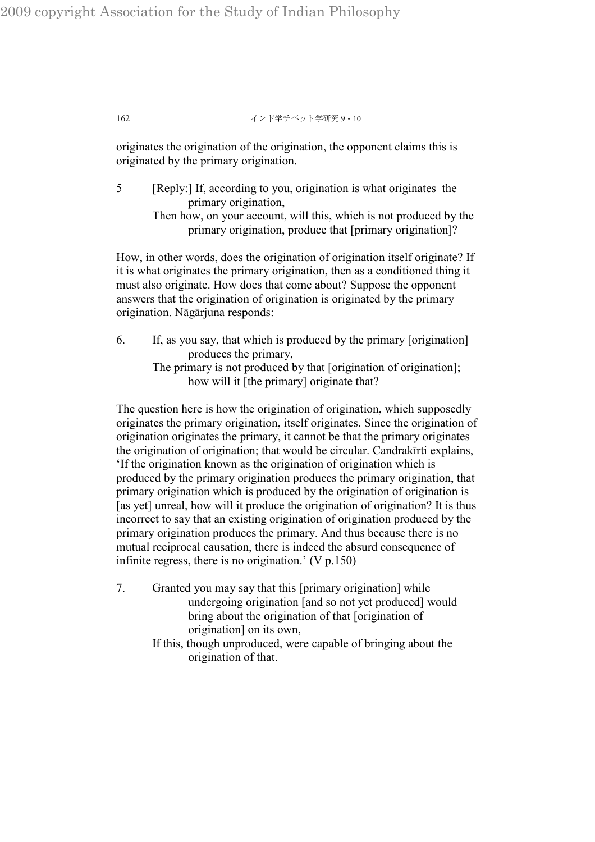originates the origination of the origination, the opponent claims this is originated by the primary origination.

- 5 [Reply:] If, according to you, origination is what originates the primary origination.
	- Then how, on your account, will this, which is not produced by the primary origination, produce that [primary origination]?

How, in other words, does the origination of origination itself originate? If it is what originates the primary origination, then as a conditioned thing it must also originate. How does that come about? Suppose the opponent answers that the origination of origination is originated by the primary origination. Nāgāriuna responds:

6. If, as you say, that which is produced by the primary [origination] produces the primary,

The primary is not produced by that [origination of origination]: how will it [the primary] originate that?

The question here is how the origination of origination, which supposedly originates the primary origination, itself originates. Since the origination of origination originates the primary, it cannot be that the primary originates the origination of origination; that would be circular. Candrakirti explains, 'If the origination known as the origination of origination which is produced by the primary origination produces the primary origination, that primary origination which is produced by the origination of origination is [as yet] unreal, how will it produce the origination of origination? It is thus incorrect to say that an existing origination of origination produced by the primary origination produces the primary. And thus because there is no mutual reciprocal causation, there is indeed the absurd consequence of infinite regress, there is no origination.' (V  $p.150$ )

- 7. Granted you may say that this [primary origination] while undergoing origination [and so not yet produced] would bring about the origination of that [origination of origination] on its own.
	- If this, though unproduced, were capable of bringing about the origination of that.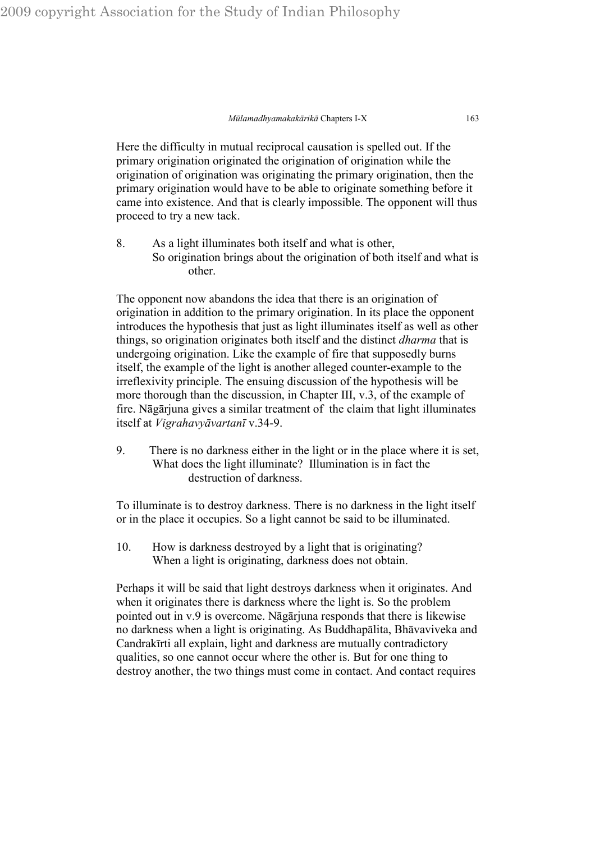Here the difficulty in mutual reciprocal causation is spelled out. If the primary origination originated the origination of origination while the origination of origination was originating the primary origination, then the primary origination would have to be able to originate something before it came into existence. And that is clearly impossible. The opponent will thus proceed to try a new tack.

8. As a light illuminates both itself and what is other, So origination brings about the origination of both itself and what is other

The opponent now abandons the idea that there is an origination of origination in addition to the primary origination. In its place the opponent introduces the hypothesis that just as light illuminates itself as well as other things, so origination originates both itself and the distinct *dharma* that is undergoing origination. Like the example of fire that supposedly burns itself, the example of the light is another alleged counter-example to the irreflexivity principle. The ensuing discussion of the hypothesis will be more thorough than the discussion, in Chapter III, v.3, of the example of fire. Nāgārjuna gives a similar treatment of the claim that light illuminates itself at Vigrahavyāvartanī v.34-9.

9. There is no darkness either in the light or in the place where it is set, What does the light illuminate? Illumination is in fact the destruction of darkness

To illuminate is to destroy darkness. There is no darkness in the light itself or in the place it occupies. So a light cannot be said to be illuminated.

10. How is darkness destroyed by a light that is originating? When a light is originating, darkness does not obtain.

Perhaps it will be said that light destroys darkness when it originates. And when it originates there is darkness where the light is. So the problem pointed out in v.9 is overcome. Nāgārjuna responds that there is likewise no darkness when a light is originating. As Buddhapalita, Bhavaviveka and Candrakīrti all explain, light and darkness are mutually contradictory qualities, so one cannot occur where the other is. But for one thing to destroy another, the two things must come in contact. And contact requires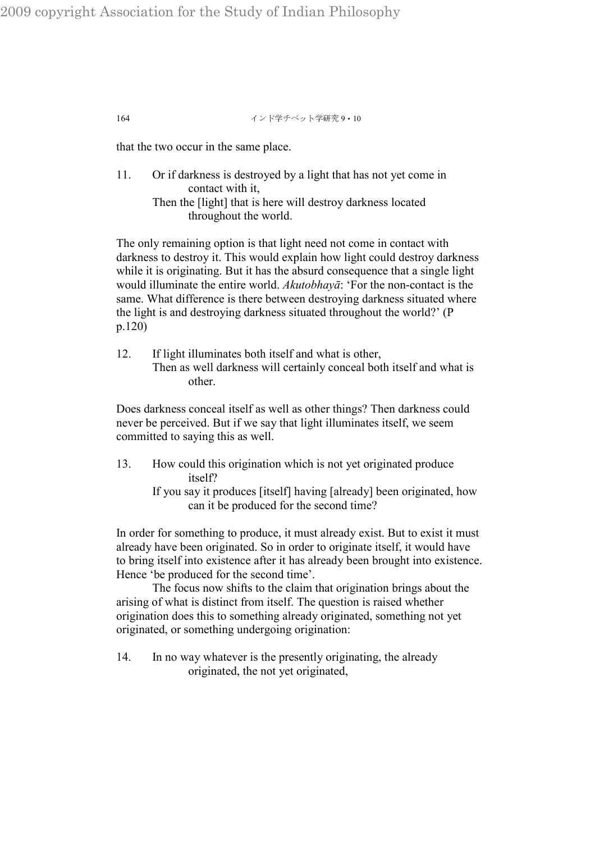```
インド学チベット学研究9・10
```
that the two occur in the same place.

 $11.$ Or if darkness is destroyed by a light that has not yet come in contact with it. Then the [light] that is here will destroy darkness located

throughout the world.

The only remaining option is that light need not come in contact with darkness to destroy it. This would explain how light could destroy darkness while it is originating. But it has the absurd consequence that a single light would illuminate the entire world. Akutobhayā: 'For the non-contact is the same. What difference is there between destroying darkness situated where the light is and destroying darkness situated throughout the world?' (P  $p.120)$ 

If light illuminates both itself and what is other,  $12.$ Then as well darkness will certainly conceal both itself and what is other.

Does darkness conceal itself as well as other things? Then darkness could never be perceived. But if we say that light illuminates itself, we seem committed to saying this as well.

 $13.$ How could this origination which is not yet originated produce *itself?* 

If you say it produces [itself] having [already] been originated, how can it be produced for the second time?

In order for something to produce, it must already exist. But to exist it must already have been originated. So in order to originate itself, it would have to bring itself into existence after it has already been brought into existence. Hence 'be produced for the second time'.

The focus now shifts to the claim that origination brings about the arising of what is distinct from itself. The question is raised whether origination does this to something already originated, something not yet originated, or something undergoing origination:

14. In no way whatever is the presently originating, the already originated, the not yet originated,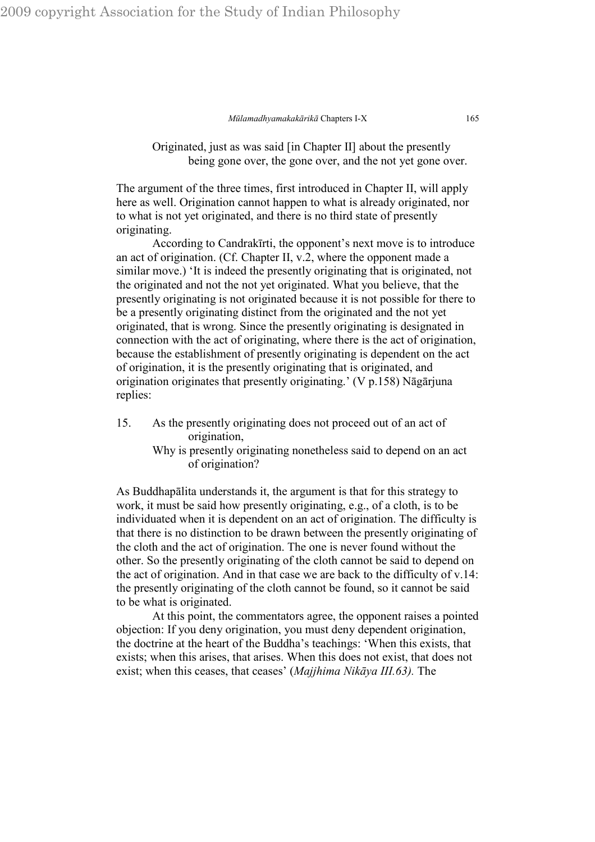Originated, just as was said [in Chapter II] about the presently being gone over, the gone over, and the not yet gone over.

The argument of the three times, first introduced in Chapter II, will apply here as well. Origination cannot happen to what is already originated, nor to what is not vet originated, and there is no third state of presently originating.

According to Candrakirti, the opponent's next move is to introduce an act of origination. (Cf. Chapter II, v.2, where the opponent made a similar move.) 'It is indeed the presently originating that is originated, not the originated and not the not yet originated. What you believe, that the presently originating is not originated because it is not possible for there to be a presently originating distinct from the originated and the not yet originated, that is wrong. Since the presently originating is designated in connection with the act of originating, where there is the act of origination, because the establishment of presently originating is dependent on the act of origination, it is the presently originating that is originated, and origination originates that presently originating.' (V  $p.158$ ) N $\bar{a}$ gariuna replies:

As the presently originating does not proceed out of an act of  $15.$ origination.

> Why is presently originating nonetheless said to depend on an act of origination?

As Buddhapalita understands it, the argument is that for this strategy to work, it must be said how presently originating, e.g., of a cloth, is to be individuated when it is dependent on an act of origination. The difficulty is that there is no distinction to be drawn between the presently originating of the cloth and the act of origination. The one is never found without the other. So the presently originating of the cloth cannot be said to depend on the act of origination. And in that case we are back to the difficulty of v.14: the presently originating of the cloth cannot be found, so it cannot be said to be what is originated.

At this point, the commentators agree, the opponent raises a pointed objection: If you deny origination, you must deny dependent origination, the doctrine at the heart of the Buddha's teachings: 'When this exists, that exists; when this arises, that arises. When this does not exist, that does not exist; when this ceases, that ceases' (Majjhima Nikāya III.63). The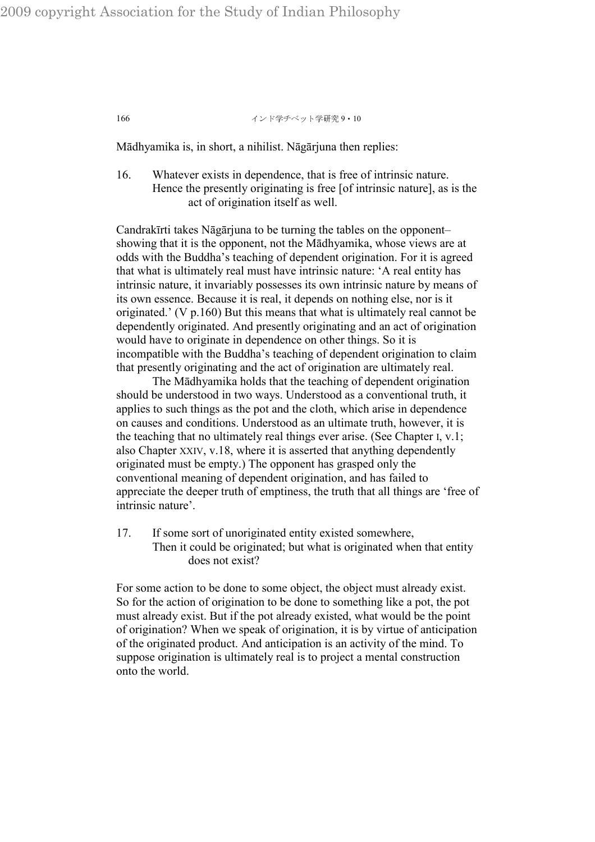Mādhyamika is, in short, a nihilist. Nāgārjuna then replies:

Whatever exists in dependence, that is free of intrinsic nature.  $16.$ Hence the presently originating is free [of intrinsic nature], as is the act of origination itself as well.

Candrakīrti takes Nāgārjuna to be turning the tables on the opponentshowing that it is the opponent, not the Madhyamika, whose views are at odds with the Buddha's teaching of dependent origination. For it is agreed that what is ultimately real must have intrinsic nature: 'A real entity has intrinsic nature, it invariably possesses its own intrinsic nature by means of its own essence. Because it is real, it depends on nothing else, nor is it originated.' (V  $p.160$ ) But this means that what is ultimately real cannot be dependently originated. And presently originating and an act of origination would have to originate in dependence on other things. So it is incompatible with the Buddha's teaching of dependent origination to claim that presently originating and the act of origination are ultimately real.

The Mādhyamika holds that the teaching of dependent origination should be understood in two ways. Understood as a conventional truth, it applies to such things as the pot and the cloth, which arise in dependence on causes and conditions. Understood as an ultimate truth, however, it is the teaching that no ultimately real things ever arise. (See Chapter I, v.1; also Chapter XXIV, v.18, where it is asserted that anything dependently originated must be empty.) The opponent has grasped only the conventional meaning of dependent origination, and has failed to appreciate the deeper truth of emptiness, the truth that all things are 'free of intrinsic nature'

 $17<sub>1</sub>$ If some sort of unoriginated entity existed somewhere, Then it could be originated; but what is originated when that entity does not exist?

For some action to be done to some object, the object must already exist. So for the action of origination to be done to something like a pot, the pot must already exist. But if the pot already existed, what would be the point of origination? When we speak of origination, it is by virtue of anticipation of the originated product. And anticipation is an activity of the mind. To suppose origination is ultimately real is to project a mental construction onto the world.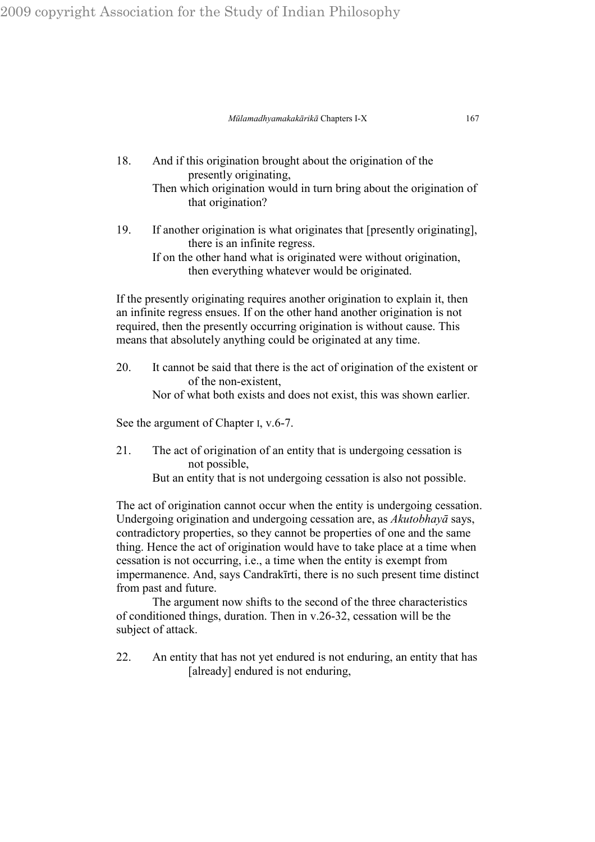- 18. And if this origination brought about the origination of the presently originating,
	- Then which origination would in turn bring about the origination of that origination?
- 19. If another origination is what originates that [presently originating], there is an infinite regress.

If on the other hand what is originated were without origination, then everything whatever would be originated.

If the presently originating requires another origination to explain it, then an infinite regress ensues. If on the other hand another origination is not required, then the presently occurring origination is without cause. This means that absolutely anything could be originated at any time.

20 It cannot be said that there is the act of origination of the existent or of the non-existent. Nor of what both exists and does not exist, this was shown earlier.

See the argument of Chapter I, v.6-7.

 $21.$ The act of origination of an entity that is undergoing cessation is not possible,

But an entity that is not undergoing cessation is also not possible.

The act of origination cannot occur when the entity is undergoing cessation. Undergoing origination and undergoing cessation are, as Akutobhaya says, contradictory properties, so they cannot be properties of one and the same thing. Hence the act of origination would have to take place at a time when cessation is not occurring, i.e., a time when the entity is exempt from impermanence. And, says Candrakīrti, there is no such present time distinct from past and future.

The argument now shifts to the second of the three characteristics of conditioned things, duration. Then in v.26-32, cessation will be the subject of attack.

22. An entity that has not yet endured is not enduring, an entity that has [already] endured is not enduring,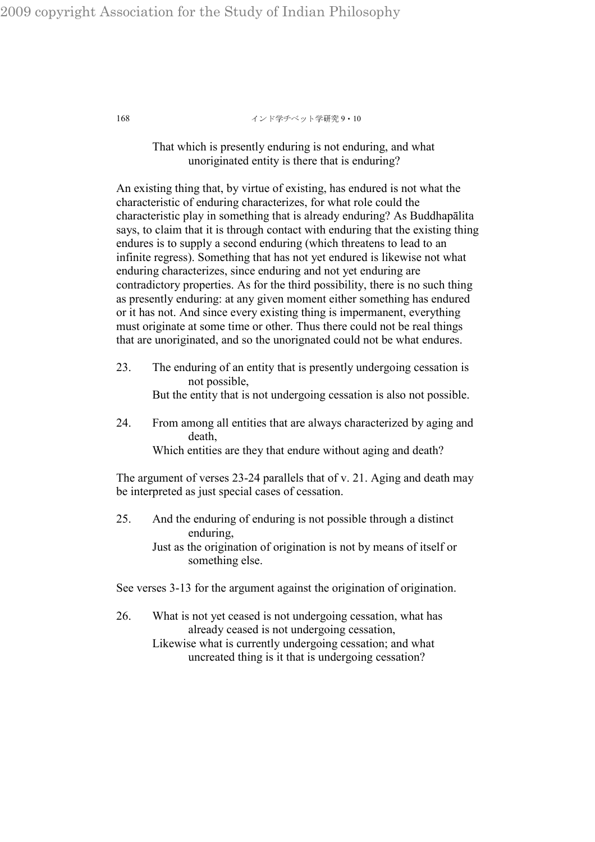That which is presently enduring is not enduring, and what unoriginated entity is there that is enduring?

An existing thing that, by virtue of existing, has endured is not what the characteristic of enduring characterizes, for what role could the characteristic play in something that is already enduring? As Buddhapalita says, to claim that it is through contact with enduring that the existing thing endures is to supply a second enduring (which threatens to lead to an infinite regress). Something that has not yet endured is likewise not what enduring characterizes, since enduring and not yet enduring are contradictory properties. As for the third possibility, there is no such thing as presently enduring: at any given moment either something has endured or it has not. And since every existing thing is impermanent, everything must originate at some time or other. Thus there could not be real things that are unoriginated, and so the unorignated could not be what endures.

- $23$ The enduring of an entity that is presently undergoing cessation is not possible. But the entity that is not undergoing cessation is also not possible.
- 24. From among all entities that are always characterized by aging and death. Which entities are they that endure without aging and death?

The argument of verses 23-24 parallels that of v. 21. Aging and death may be interpreted as just special cases of cessation.

And the enduring of enduring is not possible through a distinct 25. enduring. Just as the origination of origination is not by means of itself or something else.

See verses 3-13 for the argument against the origination of origination.

26. What is not yet ceased is not undergoing cessation, what has already ceased is not undergoing cessation. Likewise what is currently undergoing cessation; and what uncreated thing is it that is undergoing cessation?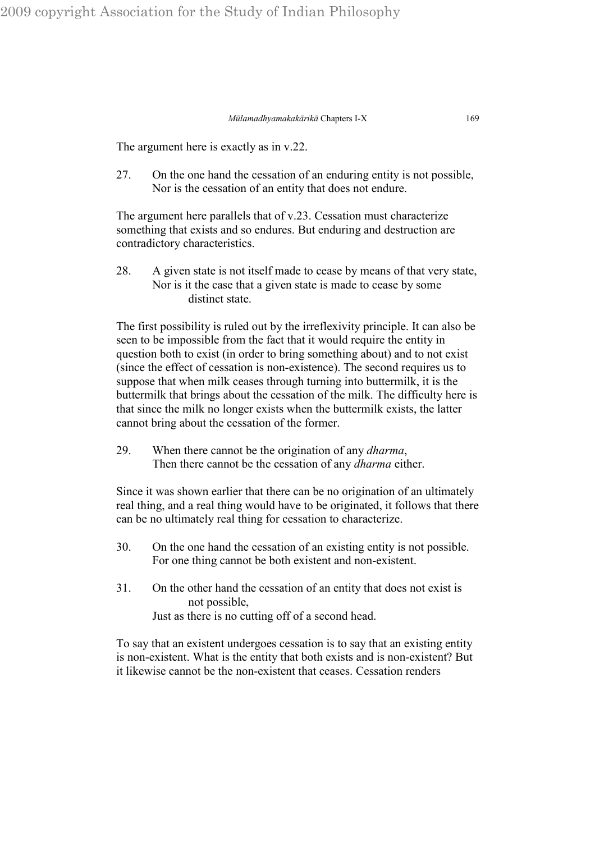The argument here is exactly as in v.22.

 $27$ On the one hand the cessation of an enduring entity is not possible. Nor is the cessation of an entity that does not endure.

The argument here parallels that of v.23. Cessation must characterize something that exists and so endures. But enduring and destruction are contradictory characteristics.

A given state is not itself made to cease by means of that very state. 28. Nor is it the case that a given state is made to cease by some distinct state.

The first possibility is ruled out by the irreflexivity principle. It can also be seen to be impossible from the fact that it would require the entity in question both to exist (in order to bring something about) and to not exist (since the effect of cessation is non-existence). The second requires us to suppose that when milk ceases through turning into buttermilk, it is the buttermilk that brings about the cessation of the milk. The difficulty here is that since the milk no longer exists when the buttermilk exists, the latter cannot bring about the cessation of the former.

29. When there cannot be the origination of any *dharma*, Then there cannot be the cessation of any *dharma* either.

Since it was shown earlier that there can be no origination of an ultimately real thing, and a real thing would have to be originated, it follows that there can be no ultimately real thing for cessation to characterize.

- 30. On the one hand the cessation of an existing entity is not possible. For one thing cannot be both existent and non-existent.
- $31.$ On the other hand the cessation of an entity that does not exist is not possible, Just as there is no cutting off of a second head.

To say that an existent undergoes cessation is to say that an existing entity is non-existent. What is the entity that both exists and is non-existent? But it likewise cannot be the non-existent that ceases. Cessation renders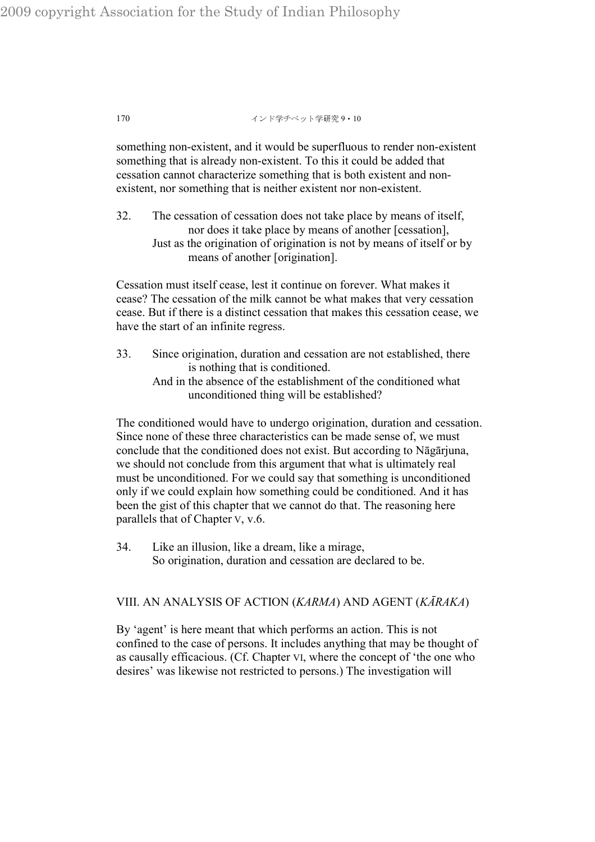something non-existent, and it would be superfluous to render non-existent something that is already non-existent. To this it could be added that cessation cannot characterize something that is both existent and nonexistent, nor something that is neither existent nor non-existent.

 $32$ The cessation of cessation does not take place by means of itself, nor does it take place by means of another [cessation], Just as the origination of origination is not by means of itself or by means of another [origination].

Cessation must itself cease, lest it continue on forever. What makes it cease? The cessation of the milk cannot be what makes that very cessation cease. But if there is a distinct cessation that makes this cessation cease, we have the start of an infinite regress.

33. Since origination, duration and cessation are not established, there is nothing that is conditioned.

And in the absence of the establishment of the conditioned what unconditioned thing will be established?

The conditioned would have to undergo origination, duration and cessation. Since none of these three characteristics can be made sense of, we must conclude that the conditioned does not exist. But according to Nāgārjuna, we should not conclude from this argument that what is ultimately real must be unconditioned. For we could say that something is unconditioned only if we could explain how something could be conditioned. And it has been the gist of this chapter that we cannot do that. The reasoning here parallels that of Chapter V, v.6.

34. Like an illusion, like a dream, like a mirage, So origination, duration and cessation are declared to be.

# VIII. AN ANALYSIS OF ACTION (KARMA) AND AGENT (KĀRAKA)

By 'agent' is here meant that which performs an action. This is not confined to the case of persons. It includes anything that may be thought of as causally efficacious. (Cf. Chapter VI, where the concept of 'the one who desires' was likewise not restricted to persons.) The investigation will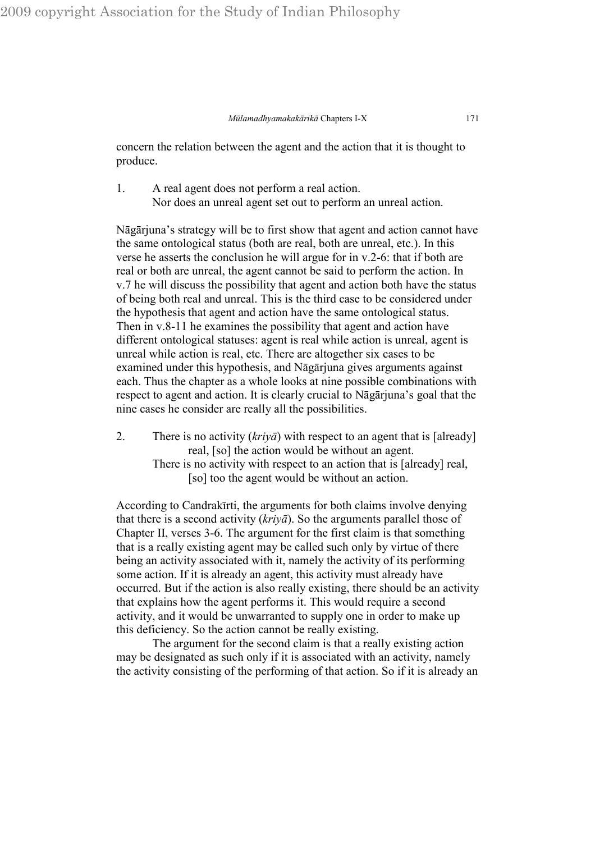concern the relation between the agent and the action that it is thought to produce.

A real agent does not perform a real action.  $\mathbf{1}$ Nor does an unreal agent set out to perform an unreal action.

Nāgārjuna's strategy will be to first show that agent and action cannot have the same ontological status (both are real, both are unreal, etc.). In this verse he asserts the conclusion he will argue for in v.2-6: that if both are real or both are unreal, the agent cannot be said to perform the action. In v.7 he will discuss the possibility that agent and action both have the status of being both real and unreal. This is the third case to be considered under the hypothesis that agent and action have the same ontological status. Then in v.8-11 he examines the possibility that agent and action have different ontological statuses: agent is real while action is unreal, agent is unreal while action is real, etc. There are altogether six cases to be examined under this hypothesis, and Nāgārjuna gives arguments against each. Thus the chapter as a whole looks at nine possible combinations with respect to agent and action. It is clearly crucial to Nāgārjuna's goal that the nine cases he consider are really all the possibilities.

 $\overline{2}$ There is no activity  $(kriy\bar{a})$  with respect to an agent that is [already] real, [so] the action would be without an agent. There is no activity with respect to an action that is [already] real, [so] too the agent would be without an action.

According to Candrakirti, the arguments for both claims involve denying that there is a second activity ( $kriy\bar{a}$ ). So the arguments parallel those of Chapter II, verses 3-6. The argument for the first claim is that something that is a really existing agent may be called such only by virtue of there being an activity associated with it, namely the activity of its performing some action. If it is already an agent, this activity must already have occurred. But if the action is also really existing, there should be an activity that explains how the agent performs it. This would require a second activity, and it would be unwarranted to supply one in order to make up this deficiency. So the action cannot be really existing.

The argument for the second claim is that a really existing action may be designated as such only if it is associated with an activity, namely the activity consisting of the performing of that action. So if it is already an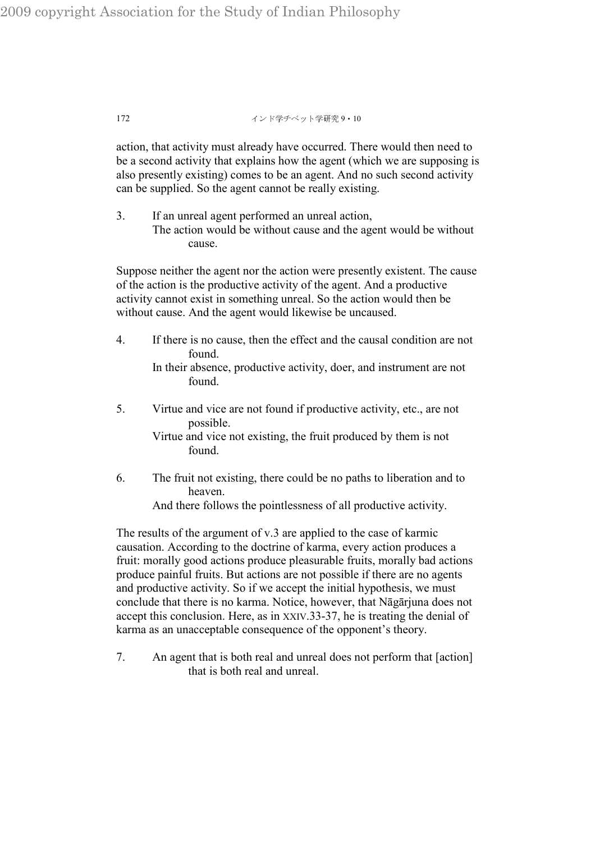found

インド学チベット学研究9・10

action, that activity must already have occurred. There would then need to be a second activity that explains how the agent (which we are supposing is also presently existing) comes to be an agent. And no such second activity can be supplied. So the agent cannot be really existing.

 $\overline{\mathcal{E}}$ If an unreal agent performed an unreal action, The action would be without cause and the agent would be without cause.

Suppose neither the agent nor the action were presently existent. The cause of the action is the productive activity of the agent. And a productive activity cannot exist in something unreal. So the action would then be without cause. And the agent would likewise be uncaused.

- $\overline{4}$ If there is no cause, then the effect and the causal condition are not found. In their absence, productive activity, doer, and instrument are not
- 5. Virtue and vice are not found if productive activity, etc., are not possible.

Virtue and vice not existing, the fruit produced by them is not found

The fruit not existing, there could be no paths to liberation and to 6. heaven And there follows the pointlessness of all productive activity.

The results of the argument of v.3 are applied to the case of karmic causation. According to the doctrine of karma, every action produces a fruit: morally good actions produce pleasurable fruits, morally bad actions produce painful fruits. But actions are not possible if there are no agents and productive activity. So if we accept the initial hypothesis, we must conclude that there is no karma. Notice, however, that Nāgārjuna does not accept this conclusion. Here, as in XXIV.33-37, he is treating the denial of karma as an unacceptable consequence of the opponent's theory.

7. An agent that is both real and unreal does not perform that [action] that is both real and unreal.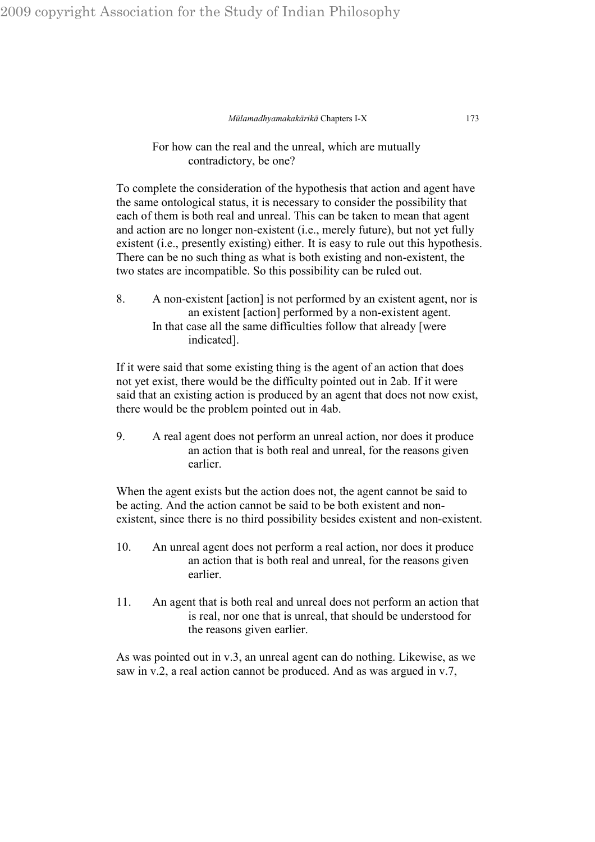To complete the consideration of the hypothesis that action and agent have the same ontological status, it is necessary to consider the possibility that each of them is both real and unreal. This can be taken to mean that agent and action are no longer non-existent (i.e., merely future), but not yet fully existent (*i.e.*, presently existing) either. It is easy to rule out this hypothesis. There can be no such thing as what is both existing and non-existent, the two states are incompatible. So this possibility can be ruled out.

8. A non-existent [action] is not performed by an existent agent, nor is an existent [action] performed by a non-existent agent. In that case all the same difficulties follow that already [were indicated].

If it were said that some existing thing is the agent of an action that does not vet exist, there would be the difficulty pointed out in 2ab. If it were said that an existing action is produced by an agent that does not now exist, there would be the problem pointed out in 4ab.

 $\overline{9}$ A real agent does not perform an unreal action, nor does it produce an action that is both real and unreal, for the reasons given earlier

When the agent exists but the action does not, the agent cannot be said to be acting. And the action cannot be said to be both existent and nonexistent, since there is no third possibility besides existent and non-existent.

- 10. An unreal agent does not perform a real action, nor does it produce an action that is both real and unreal, for the reasons given earlier
- $11.$ An agent that is both real and unreal does not perform an action that is real, nor one that is unreal, that should be understood for the reasons given earlier.

As was pointed out in v.3, an unreal agent can do nothing. Likewise, as we saw in v.2, a real action cannot be produced. And as was argued in v.7,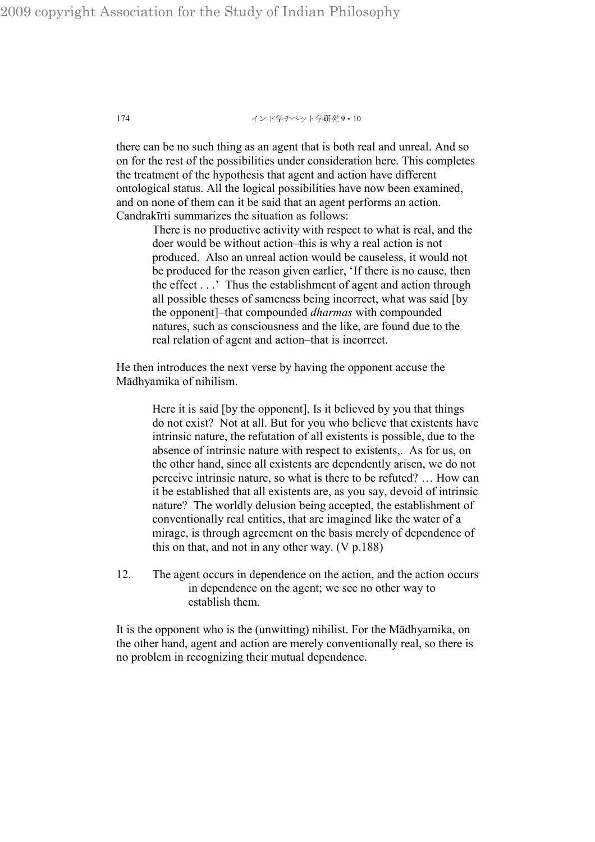there can be no such thing as an agent that is both real and unreal. And so on for the rest of the possibilities under consideration here. This completes the treatment of the hypothesis that agent and action have different ontological status. All the logical possibilities have now been examined, and on none of them can it be said that an agent performs an action. Candrakīrti summarizes the situation as follows:

There is no productive activity with respect to what is real, and the doer would be without action-this is why a real action is not produced. Also an unreal action would be causeless, it would not be produced for the reason given earlier. 'If there is no cause, then the effect . . . Thus the establishment of agent and action through all possible theses of sameness being incorrect, what was said [by] the opponent-that compounded *dharmas* with compounded natures, such as consciousness and the like, are found due to the real relation of agent and action-that is incorrect.

He then introduces the next verse by having the opponent accuse the Mādhyamika of nihilism.

> Here it is said [by the opponent], Is it believed by you that things do not exist? Not at all. But for you who believe that existents have intrinsic nature, the refutation of all existents is possible, due to the absence of intrinsic nature with respect to existents,. As for us, on the other hand, since all existents are dependently arisen, we do not perceive intrinsic nature, so what is there to be refuted? ... How can it be established that all existents are, as you say, devoid of intrinsic nature? The worldly delusion being accepted, the establishment of conventionally real entities, that are imagined like the water of a mirage, is through agreement on the basis merely of dependence of this on that, and not in any other way. (V  $p.188$ )

 $12.$ The agent occurs in dependence on the action, and the action occurs in dependence on the agent; we see no other way to establish them

It is the opponent who is the (unwitting) nihilist. For the Madhyamika, on the other hand, agent and action are merely conventionally real, so there is no problem in recognizing their mutual dependence.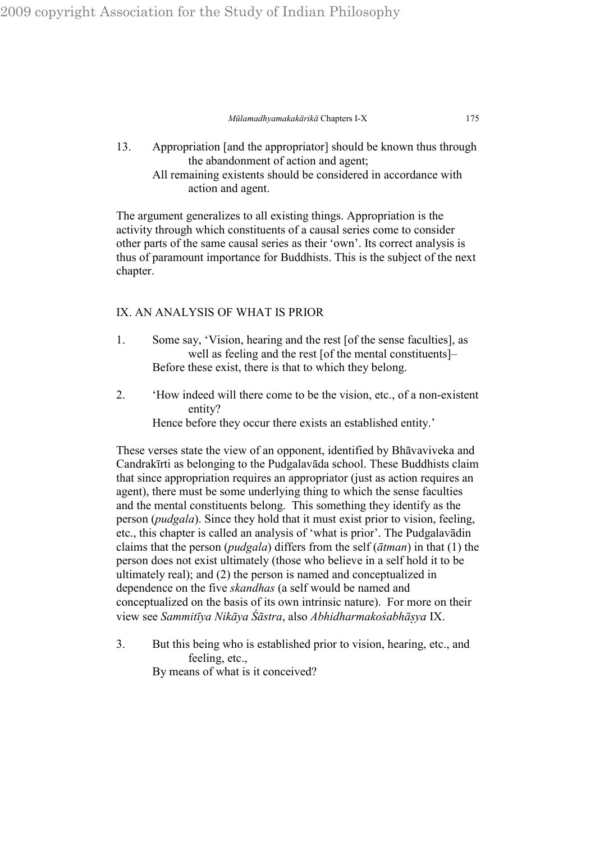- $13$ Appropriation [and the appropriator] should be known thus through the abandonment of action and agent;
	- All remaining existents should be considered in accordance with action and agent.

The argument generalizes to all existing things. Appropriation is the activity through which constituents of a causal series come to consider other parts of the same causal series as their 'own'. Its correct analysis is thus of paramount importance for Buddhists. This is the subject of the next chapter.

# IX. AN ANALYSIS OF WHAT IS PRIOR

- $\mathbf{1}$ Some say, 'Vision, hearing and the rest [of the sense faculties], as well as feeling and the rest [of the mental constituents]-Before these exist, there is that to which they belong.
- $2.$ 'How indeed will there come to be the vision, etc., of a non-existent entity? Hence before they occur there exists an established entity.'

These verses state the view of an opponent, identified by Bhavaviveka and Candrakīrti as belonging to the Pudgalavāda school. These Buddhists claim that since appropriation requires an appropriator (just as action requires an agent), there must be some underlying thing to which the sense faculties and the mental constituents belong. This something they identify as the person (*pudgala*). Since they hold that it must exist prior to vision, feeling, etc., this chapter is called an analysis of 'what is prior'. The Pudgalavadin claims that the person *(pudgala)* differs from the self *(* $\bar{a}$ *tman)* in that (1) the person does not exist ultimately (those who believe in a self hold it to be ultimately real); and (2) the person is named and conceptualized in dependence on the five *skandhas* (a self would be named and conceptualized on the basis of its own intrinsic nature). For more on their view see Sammitīva Nikāva Śāstra, also Abhidharmakośabhāsva IX.

 $\mathcal{E}$ But this being who is established prior to vision, hearing, etc., and feeling, etc., By means of what is it conceived?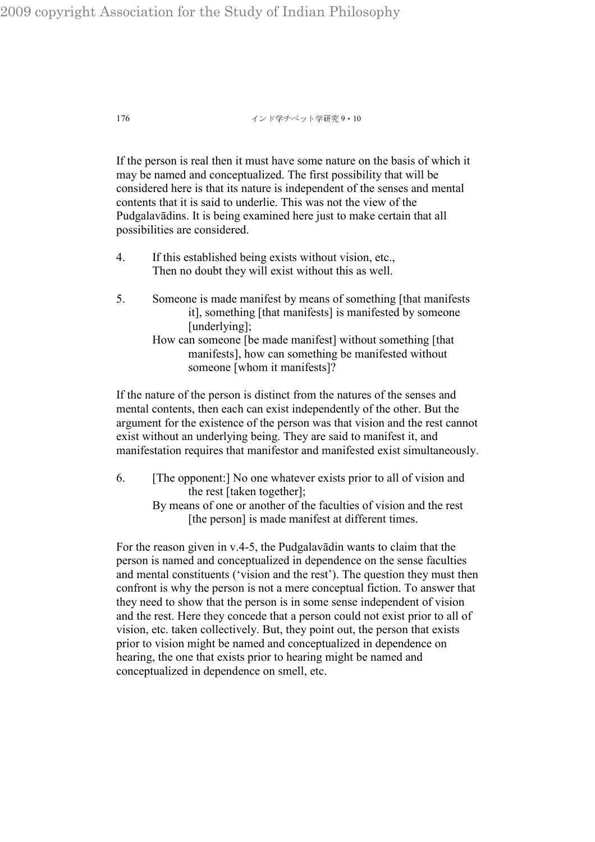If the person is real then it must have some nature on the basis of which it may be named and conceptualized. The first possibility that will be considered here is that its nature is independent of the senses and mental contents that it is said to underlie. This was not the view of the Pudgalavādins. It is being examined here just to make certain that all possibilities are considered.

- $\overline{4}$ . If this established being exists without vision, etc., Then no doubt they will exist without this as well.
- 5. Someone is made manifest by means of something [that manifests] it], something [that manifests] is manifested by someone [underlying]:
	- How can someone [be made manifest] without something [that] manifests], how can something be manifested without someone [whom it manifests]?

If the nature of the person is distinct from the natures of the senses and mental contents, then each can exist independently of the other. But the argument for the existence of the person was that vision and the rest cannot exist without an underlying being. They are said to manifest it, and manifestation requires that manifestor and manifested exist simultaneously.

- 6. [The opponent:] No one whatever exists prior to all of vision and the rest [taken together];
	- By means of one or another of the faculties of vision and the rest [the person] is made manifest at different times.

For the reason given in v.4-5, the Pudgalavadin wants to claim that the person is named and conceptualized in dependence on the sense faculties and mental constituents ('vision and the rest'). The question they must then confront is why the person is not a mere conceptual fiction. To answer that they need to show that the person is in some sense independent of vision and the rest. Here they concede that a person could not exist prior to all of vision, etc. taken collectively. But, they point out, the person that exists prior to vision might be named and conceptualized in dependence on hearing, the one that exists prior to hearing might be named and conceptualized in dependence on smell, etc.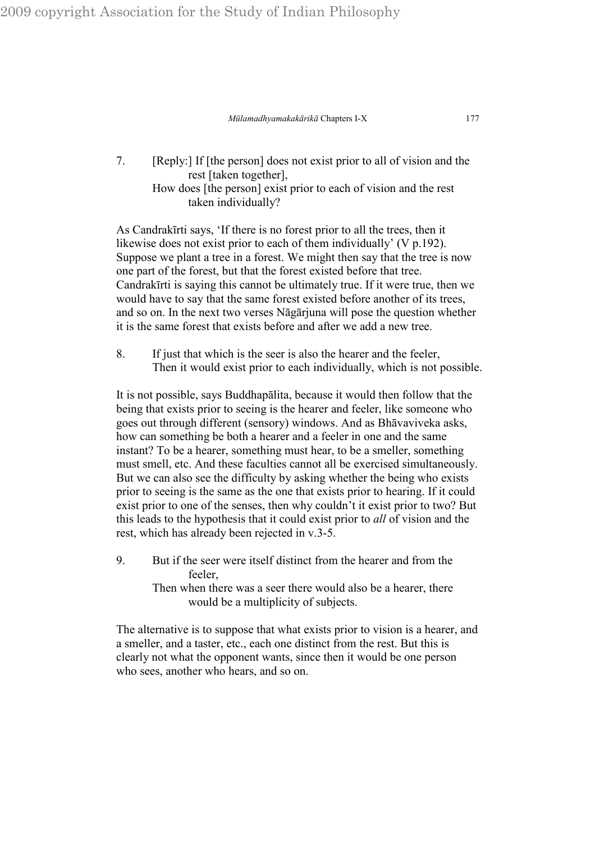7. [Reply:] If [the person] does not exist prior to all of vision and the rest [taken together].

How does [the person] exist prior to each of vision and the rest taken individually?

As Candrakīrti says, 'If there is no forest prior to all the trees, then it likewise does not exist prior to each of them individually' (V p.192). Suppose we plant a tree in a forest. We might then say that the tree is now one part of the forest, but that the forest existed before that tree. Candrakīrti is saying this cannot be ultimately true. If it were true, then we would have to say that the same forest existed before another of its trees, and so on. In the next two verses Nagariuna will pose the question whether it is the same forest that exists before and after we add a new tree.

8. If just that which is the seer is also the hearer and the feeler. Then it would exist prior to each individually, which is not possible.

It is not possible, says Buddhapalita, because it would then follow that the being that exists prior to seeing is the hearer and feeler, like someone who goes out through different (sensory) windows. And as Bhavaviveka asks, how can something be both a hearer and a feeler in one and the same instant? To be a hearer, something must hear, to be a smeller, something must smell, etc. And these faculties cannot all be exercised simultaneously. But we can also see the difficulty by asking whether the being who exists prior to seeing is the same as the one that exists prior to hearing. If it could exist prior to one of the senses, then why couldn't it exist prior to two? But this leads to the hypothesis that it could exist prior to all of vision and the rest, which has already been rejected in v.3-5.

9. But if the seer were itself distinct from the hearer and from the feeler.

Then when there was a seer there would also be a hearer, there would be a multiplicity of subjects.

The alternative is to suppose that what exists prior to vision is a hearer, and a smeller, and a taster, etc., each one distinct from the rest. But this is clearly not what the opponent wants, since then it would be one person who sees, another who hears, and so on.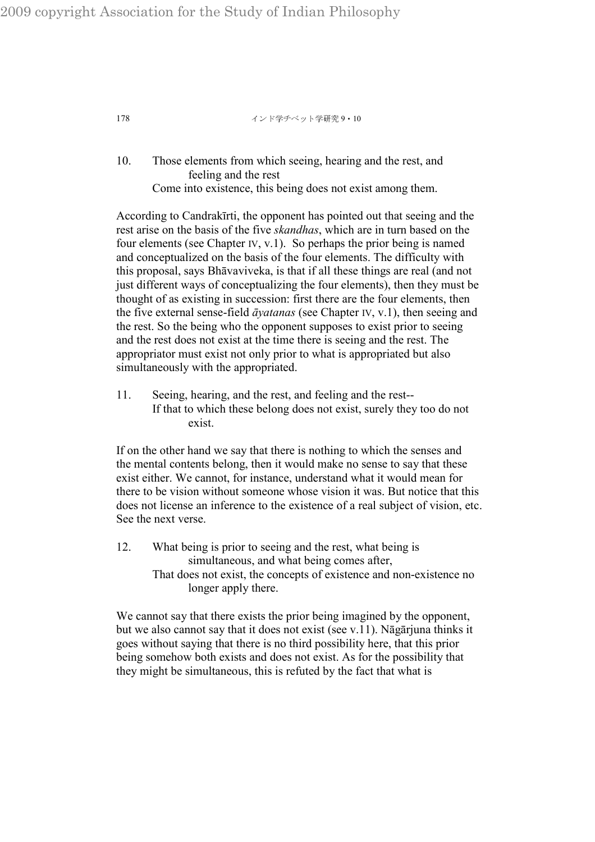$10<sub>1</sub>$ Those elements from which seeing, hearing and the rest, and feeling and the rest Come into existence, this being does not exist among them.

According to Candrakirti, the opponent has pointed out that seeing and the rest arise on the basis of the five skandhas, which are in turn based on the four elements (see Chapter IV, y.1). So perhaps the prior being is named and conceptualized on the basis of the four elements. The difficulty with this proposal, says Bhavaviveka, is that if all these things are real (and not just different ways of conceptualizing the four elements), then they must be thought of as existing in succession: first there are the four elements, then the five external sense-field  $āvatanas$  (see Chapter IV, v.1), then seeing and the rest. So the being who the opponent supposes to exist prior to seeing and the rest does not exist at the time there is seeing and the rest. The appropriator must exist not only prior to what is appropriated but also simultaneously with the appropriated.

11. Seeing, hearing, and the rest, and feeling and the rest--If that to which these belong does not exist, surely they too do not exist

If on the other hand we say that there is nothing to which the senses and the mental contents belong, then it would make no sense to say that these exist either. We cannot, for instance, understand what it would mean for there to be vision without someone whose vision it was. But notice that this does not license an inference to the existence of a real subject of vision, etc. See the next verse.

12. What being is prior to seeing and the rest, what being is simultaneous, and what being comes after, That does not exist, the concepts of existence and non-existence no longer apply there.

We cannot say that there exists the prior being imagined by the opponent, but we also cannot say that it does not exist (see v.11). Nāgāriuna thinks it goes without saying that there is no third possibility here, that this prior being somehow both exists and does not exist. As for the possibility that they might be simultaneous, this is refuted by the fact that what is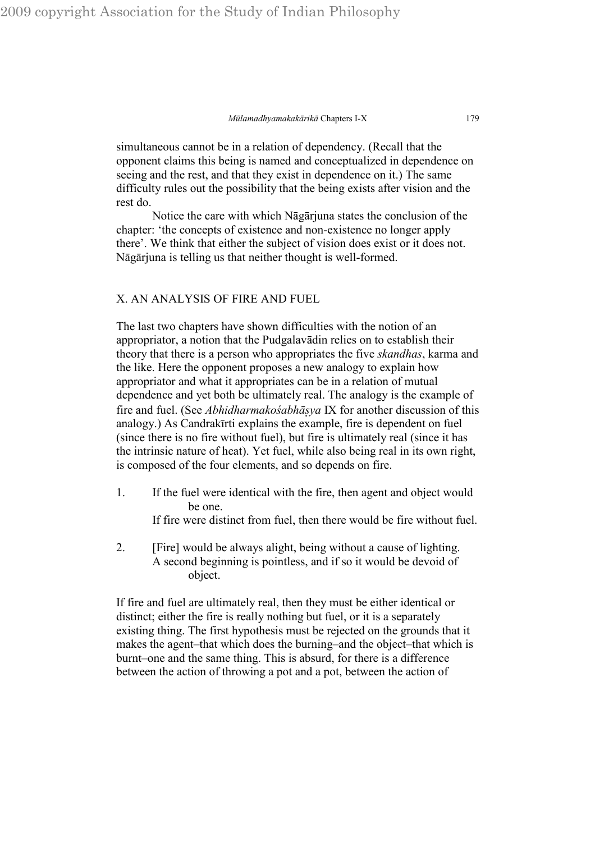simultaneous cannot be in a relation of dependency. (Recall that the opponent claims this being is named and conceptualized in dependence on seeing and the rest, and that they exist in dependence on it.) The same difficulty rules out the possibility that the being exists after vision and the rest do.

Notice the care with which Nāgārjuna states the conclusion of the chapter: 'the concepts of existence and non-existence no longer apply there'. We think that either the subject of vision does exist or it does not. Nāgārjuna is telling us that neither thought is well-formed.

## X. AN ANALYSIS OF FIRE AND FUEL

The last two chapters have shown difficulties with the notion of an appropriator, a notion that the Pudgalavadin relies on to establish their theory that there is a person who appropriates the five *skandhas*, karma and the like. Here the opponent proposes a new analogy to explain how appropriator and what it appropriates can be in a relation of mutual dependence and yet both be ultimately real. The analogy is the example of fire and fuel. (See Abhidharmakośabhāsya IX for another discussion of this analogy.) As Candrakīrti explains the example, fire is dependent on fuel (since there is no fire without fuel), but fire is ultimately real (since it has the intrinsic nature of heat). Yet fuel, while also being real in its own right, is composed of the four elements, and so depends on fire.

- $1_{-}$ If the fuel were identical with the fire, then agent and object would be one. If fire were distinct from fuel, then there would be fire without fuel.
- 2. [Fire] would be always alight, being without a cause of lighting. A second beginning is pointless, and if so it would be devoid of object.

If fire and fuel are ultimately real, then they must be either identical or distinct; either the fire is really nothing but fuel, or it is a separately existing thing. The first hypothesis must be rejected on the grounds that it makes the agent-that which does the burning-and the object-that which is burnt–one and the same thing. This is absurd, for there is a difference between the action of throwing a pot and a pot, between the action of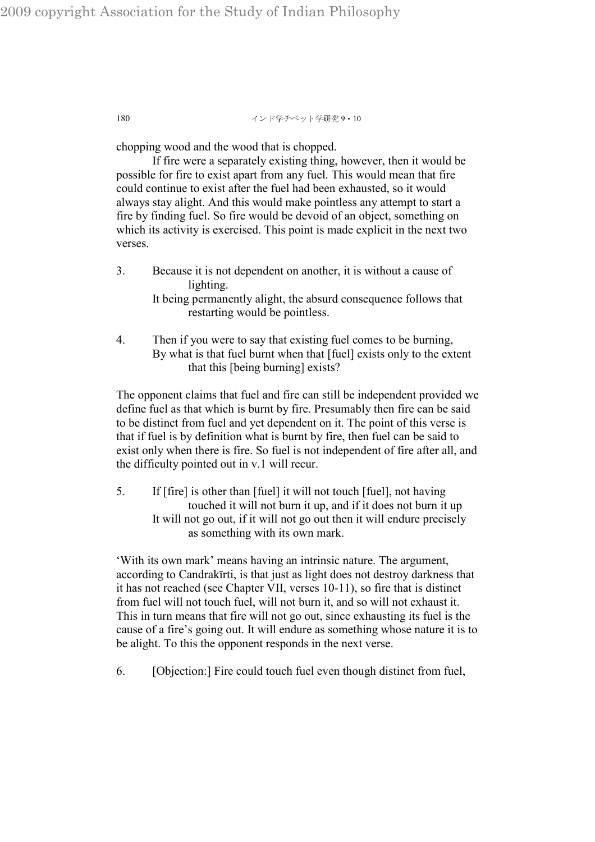chopping wood and the wood that is chopped.

If fire were a separately existing thing, however, then it would be possible for fire to exist apart from any fuel. This would mean that fire could continue to exist after the fuel had been exhausted, so it would always stay alight. And this would make pointless any attempt to start a fire by finding fuel. So fire would be devoid of an object, something on which its activity is exercised. This point is made explicit in the next two verses.

 $3<sub>1</sub>$ Because it is not dependent on another, it is without a cause of lighting.

It being permanently alight, the absurd consequence follows that restarting would be pointless.

 $\overline{4}$ . Then if you were to say that existing fuel comes to be burning. By what is that fuel burnt when that [fuel] exists only to the extent that this [being burning] exists?

The opponent claims that fuel and fire can still be independent provided we define fuel as that which is burnt by fire. Presumably then fire can be said to be distinct from fuel and yet dependent on it. The point of this verse is that if fuel is by definition what is burnt by fire, then fuel can be said to exist only when there is fire. So fuel is not independent of fire after all, and the difficulty pointed out in v.1 will recur.

 $5<sub>1</sub>$ If [fire] is other than [fuel] it will not touch [fuel], not having touched it will not burn it up, and if it does not burn it up It will not go out, if it will not go out then it will endure precisely as something with its own mark.

'With its own mark' means having an intrinsic nature. The argument, according to Candrakirti, is that just as light does not destroy darkness that it has not reached (see Chapter VII, verses 10-11), so fire that is distinct from fuel will not touch fuel, will not burn it, and so will not exhaust it. This in turn means that fire will not go out, since exhausting its fuel is the cause of a fire's going out. It will endure as something whose nature it is to be alight. To this the opponent responds in the next verse.

6. [Objection:] Fire could touch fuel even though distinct from fuel,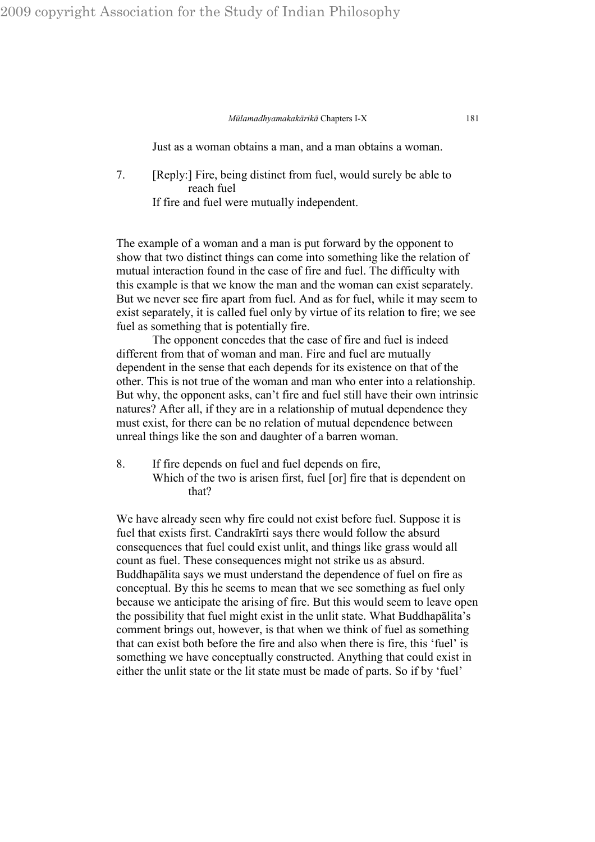Just as a woman obtains a man, and a man obtains a woman.

 $7<sub>1</sub>$ [Reply:] Fire, being distinct from fuel, would surely be able to reach fuel

If fire and fuel were mutually independent.

The example of a woman and a man is put forward by the opponent to show that two distinct things can come into something like the relation of mutual interaction found in the case of fire and fuel. The difficulty with this example is that we know the man and the woman can exist separately. But we never see fire apart from fuel. And as for fuel, while it may seem to exist separately, it is called fuel only by virtue of its relation to fire; we see fuel as something that is potentially fire.

The opponent concedes that the case of fire and fuel is indeed different from that of woman and man. Fire and fuel are mutually dependent in the sense that each depends for its existence on that of the other. This is not true of the woman and man who enter into a relationship. But why, the opponent asks, can't fire and fuel still have their own intrinsic natures? After all, if they are in a relationship of mutual dependence they must exist, for there can be no relation of mutual dependence between unreal things like the son and daughter of a barren woman.

8. If fire depends on fuel and fuel depends on fire, Which of the two is arisen first, fuel [or] fire that is dependent on that?

We have already seen why fire could not exist before fuel. Suppose it is fuel that exists first. Candrakīrti says there would follow the absurd consequences that fuel could exist unlit, and things like grass would all count as fuel. These consequences might not strike us as absurd. Buddhapālita says we must understand the dependence of fuel on fire as conceptual. By this he seems to mean that we see something as fuel only because we anticipate the arising of fire. But this would seem to leave open the possibility that fuel might exist in the unlit state. What Buddhapalita's comment brings out, however, is that when we think of fuel as something that can exist both before the fire and also when there is fire, this 'fuel' is something we have conceptually constructed. Anything that could exist in either the unlit state or the lit state must be made of parts. So if by 'fuel'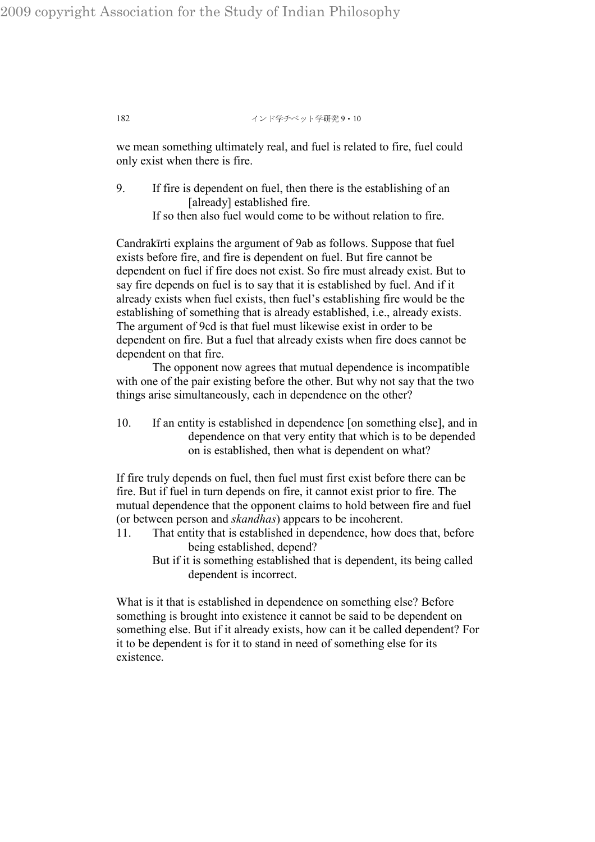we mean something ultimately real, and fuel is related to fire, fuel could only exist when there is fire.

 $\overline{9}$ If fire is dependent on fuel, then there is the establishing of an [already] established fire.

If so then also fuel would come to be without relation to fire

Candrakirti explains the argument of 9ab as follows. Suppose that fuel exists before fire, and fire is dependent on fuel. But fire cannot be dependent on fuel if fire does not exist. So fire must already exist. But to say fire depends on fuel is to say that it is established by fuel. And if it already exists when fuel exists, then fuel's establishing fire would be the establishing of something that is already established, *i.e.*, already exists. The argument of 9cd is that fuel must likewise exist in order to be dependent on fire. But a fuel that already exists when fire does cannot be dependent on that fire.

The opponent now agrees that mutual dependence is incompatible. with one of the pair existing before the other. But why not say that the two things arise simultaneously, each in dependence on the other?

 $10<sub>1</sub>$ If an entity is established in dependence [on something else], and in dependence on that very entity that which is to be depended on is established, then what is dependent on what?

If fire truly depends on fuel, then fuel must first exist before there can be fire. But if fuel in turn depends on fire, it cannot exist prior to fire. The mutual dependence that the opponent claims to hold between fire and fuel (or between person and *skandhas*) appears to be incoherent.

- $11.$ That entity that is established in dependence, how does that, before being established, depend?
	- But if it is something established that is dependent, its being called dependent is incorrect.

What is it that is established in dependence on something else? Before something is brought into existence it cannot be said to be dependent on something else. But if it already exists, how can it be called dependent? For it to be dependent is for it to stand in need of something else for its existence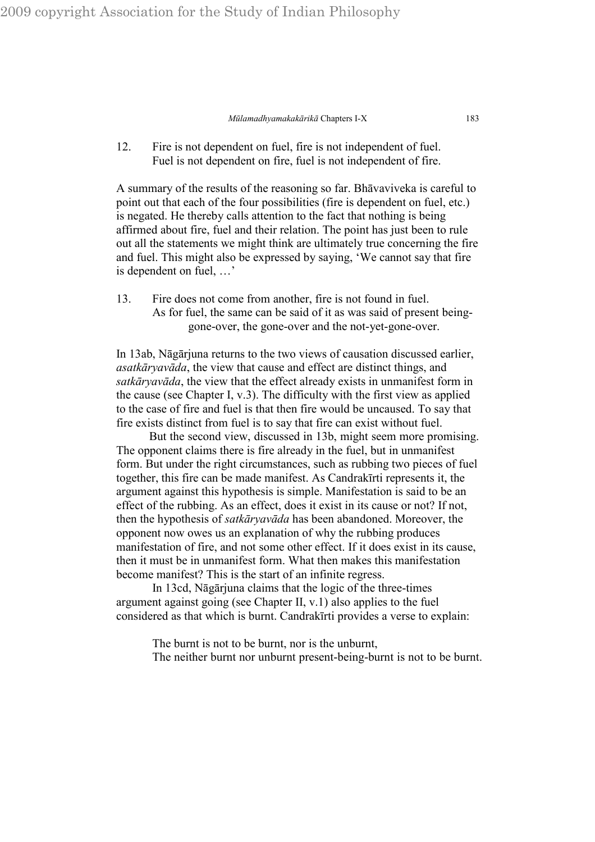$12$ Fire is not dependent on fuel, fire is not independent of fuel. Fuel is not dependent on fire, fuel is not independent of fire.

A summary of the results of the reasoning so far. Bhavavive ka is careful to point out that each of the four possibilities (fire is dependent on fuel, etc.) is negated. He thereby calls attention to the fact that nothing is being affirmed about fire, fuel and their relation. The point has just been to rule out all the statements we might think are ultimately true concerning the fire and fuel. This might also be expressed by saying, 'We cannot say that fire is dependent on fuel, ...'

Fire does not come from another, fire is not found in fuel. 13. As for fuel, the same can be said of it as was said of present beinggone-over, the gone-over and the not-yet-gone-over.

In 13ab, Nāgārjuna returns to the two views of causation discussed earlier, *asatkārvavāda*, the view that cause and effect are distinct things, and satkārvavāda, the view that the effect already exists in unmanifest form in the cause (see Chapter I, v.3). The difficulty with the first view as applied to the case of fire and fuel is that then fire would be uncaused. To say that fire exists distinct from fuel is to say that fire can exist without fuel.

But the second view, discussed in 13b, might seem more promising. The opponent claims there is fire already in the fuel, but in unmanifest form. But under the right circumstances, such as rubbing two pieces of fuel together, this fire can be made manifest. As Candrakīrti represents it, the argument against this hypothesis is simple. Manifestation is said to be an effect of the rubbing. As an effect, does it exist in its cause or not? If not, then the hypothesis of satkāryavāda has been abandoned. Moreover, the opponent now owes us an explanation of why the rubbing produces manifestation of fire, and not some other effect. If it does exist in its cause, then it must be in unmanifest form. What then makes this manifestation become manifest? This is the start of an infinite regress.

In 13cd, Nāgārjuna claims that the logic of the three-times argument against going (see Chapter II,  $v$ , 1) also applies to the fuel considered as that which is burnt. Candrakirti provides a verse to explain:

The burnt is not to be burnt, nor is the unburnt, The neither burnt nor unburnt present-being-burnt is not to be burnt.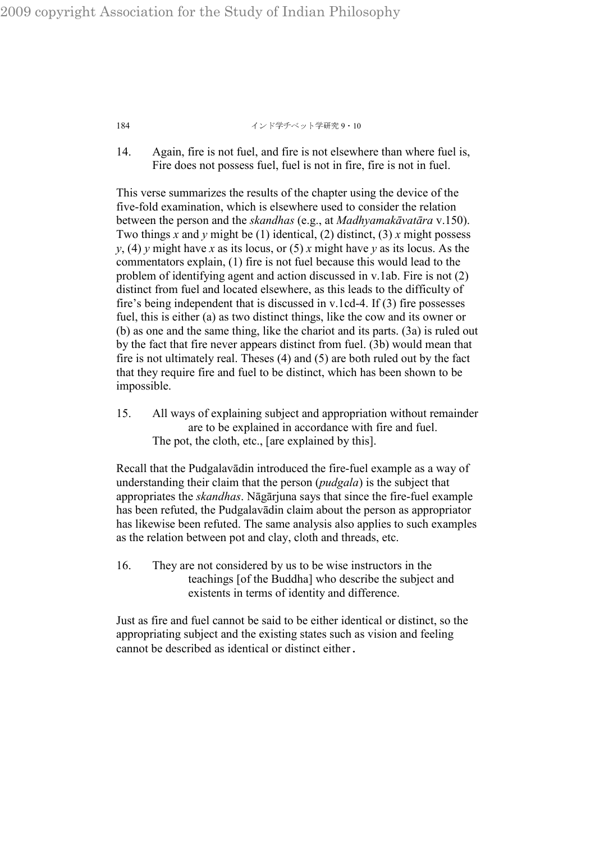Again, fire is not fuel, and fire is not elsewhere than where fuel is, 14. Fire does not possess fuel, fuel is not in fire, fire is not in fuel.

This verse summarizes the results of the chapter using the device of the five-fold examination, which is elsewhere used to consider the relation between the person and the *skandhas* (e.g., at *Madhyamakāvatāra v.150)*. Two things x and y might be (1) identical, (2) distinct, (3) x might possess y, (4) y might have x as its locus, or (5) x might have y as its locus. As the commentators explain, (1) fire is not fuel because this would lead to the problem of identifying agent and action discussed in v.1ab. Fire is not (2) distinct from fuel and located elsewhere, as this leads to the difficulty of fire's being independent that is discussed in  $v$ . 1cd-4. If  $(3)$  fire possesses fuel, this is either (a) as two distinct things, like the cow and its owner or (b) as one and the same thing, like the chariot and its parts. (3a) is ruled out by the fact that fire never appears distinct from fuel. (3b) would mean that fire is not ultimately real. Theses (4) and (5) are both ruled out by the fact that they require fire and fuel to be distinct, which has been shown to be impossible.

All ways of explaining subject and appropriation without remainder 15. are to be explained in accordance with fire and fuel. The pot, the cloth, etc., [are explained by this].

Recall that the Pudgalavadin introduced the fire-fuel example as a way of understanding their claim that the person (pudgala) is the subject that appropriates the *skandhas*. Nāgārjuna says that since the fire-fuel example has been refuted, the Pudgalava din claim about the person as appropriator has likewise been refuted. The same analysis also applies to such examples as the relation between pot and clay, cloth and threads, etc.

16. They are not considered by us to be wise instructors in the teachings [of the Buddha] who describe the subject and existents in terms of identity and difference.

Just as fire and fuel cannot be said to be either identical or distinct, so the appropriating subject and the existing states such as vision and feeling cannot be described as identical or distinct either.